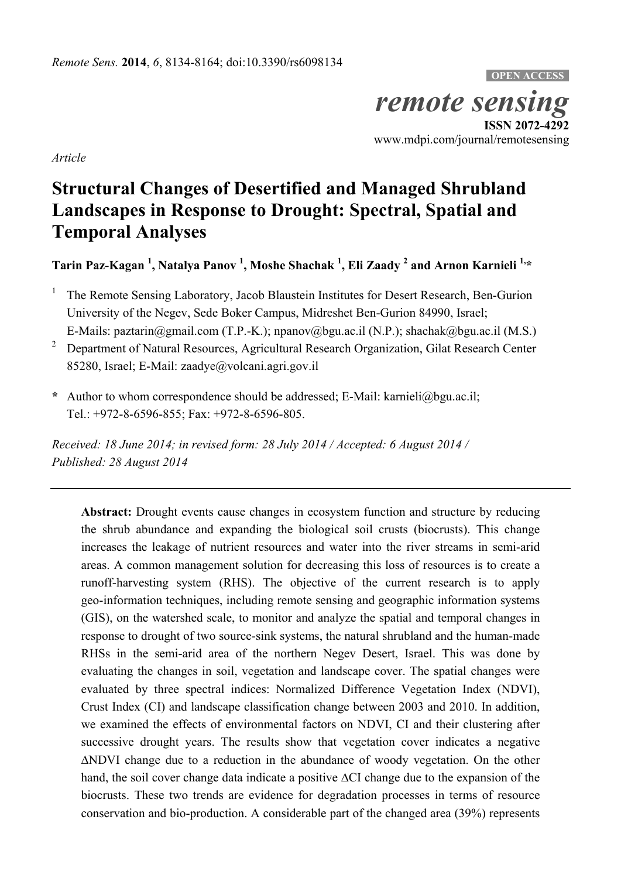*remote sensing*  **ISSN 2072-4292**  www.mdpi.com/journal/remotesensing **OPEN ACCESS**

*Article* 

# **Structural Changes of Desertified and Managed Shrubland Landscapes in Response to Drought: Spectral, Spatial and Temporal Analyses**

 $\bf{T}$ arin Paz-Kagan <sup>1</sup>, Natalya Panov <sup>1</sup>, Moshe Shachak <sup>1</sup>, Eli Zaady <sup>2</sup> and Arnon Karnieli <sup>1,</sup>\*

- 1 The Remote Sensing Laboratory, Jacob Blaustein Institutes for Desert Research, Ben-Gurion University of the Negev, Sede Boker Campus, Midreshet Ben-Gurion 84990, Israel; E-Mails: paztarin@gmail.com (T.P.-K.); npanov@bgu.ac.il (N.P.); shachak@bgu.ac.il (M.S.)
- 2 Department of Natural Resources, Agricultural Research Organization, Gilat Research Center 85280, Israel; E-Mail: zaadye@volcani.agri.gov.il
- **\*** Author to whom correspondence should be addressed; E-Mail: karnieli@bgu.ac.il; Tel.: +972-8-6596-855; Fax: +972-8-6596-805.

*Received: 18 June 2014; in revised form: 28 July 2014 / Accepted: 6 August 2014 / Published: 28 August 2014* 

**Abstract:** Drought events cause changes in ecosystem function and structure by reducing the shrub abundance and expanding the biological soil crusts (biocrusts). This change increases the leakage of nutrient resources and water into the river streams in semi-arid areas. A common management solution for decreasing this loss of resources is to create a runoff-harvesting system (RHS). The objective of the current research is to apply geo-information techniques, including remote sensing and geographic information systems (GIS), on the watershed scale, to monitor and analyze the spatial and temporal changes in response to drought of two source-sink systems, the natural shrubland and the human-made RHSs in the semi-arid area of the northern Negev Desert, Israel. This was done by evaluating the changes in soil, vegetation and landscape cover. The spatial changes were evaluated by three spectral indices: Normalized Difference Vegetation Index (NDVI), Crust Index (CI) and landscape classification change between 2003 and 2010. In addition, we examined the effects of environmental factors on NDVI, CI and their clustering after successive drought years. The results show that vegetation cover indicates a negative ∆NDVI change due to a reduction in the abundance of woody vegetation. On the other hand, the soil cover change data indicate a positive ∆CI change due to the expansion of the biocrusts. These two trends are evidence for degradation processes in terms of resource conservation and bio-production. A considerable part of the changed area (39%) represents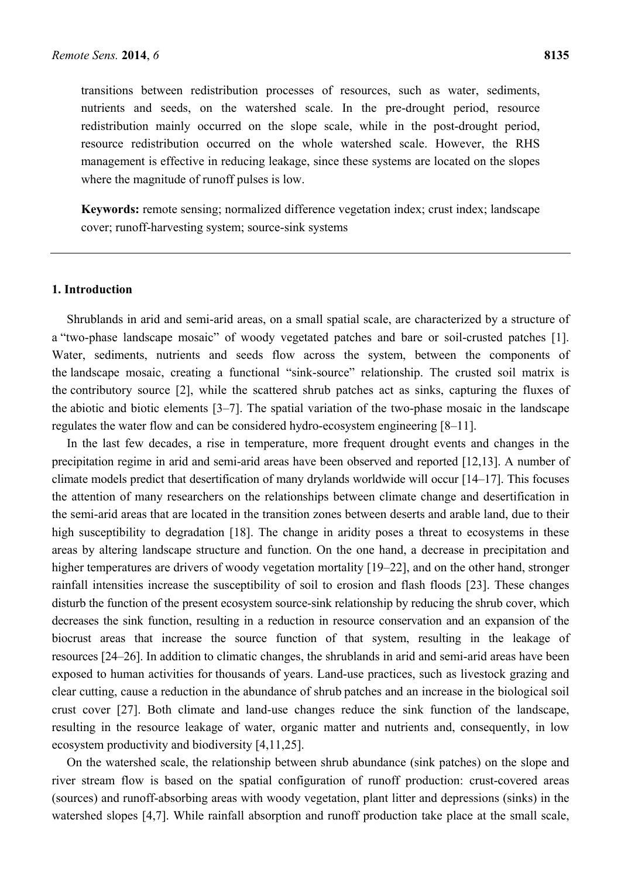transitions between redistribution processes of resources, such as water, sediments, nutrients and seeds, on the watershed scale. In the pre-drought period, resource redistribution mainly occurred on the slope scale, while in the post-drought period, resource redistribution occurred on the whole watershed scale. However, the RHS management is effective in reducing leakage, since these systems are located on the slopes where the magnitude of runoff pulses is low.

**Keywords:** remote sensing; normalized difference vegetation index; crust index; landscape cover; runoff-harvesting system; source-sink systems

## **1. Introduction**

Shrublands in arid and semi-arid areas, on a small spatial scale, are characterized by a structure of a "two-phase landscape mosaic" of woody vegetated patches and bare or soil-crusted patches [1]. Water, sediments, nutrients and seeds flow across the system, between the components of the landscape mosaic, creating a functional "sink-source" relationship. The crusted soil matrix is the contributory source [2], while the scattered shrub patches act as sinks, capturing the fluxes of the abiotic and biotic elements [3–7]. The spatial variation of the two-phase mosaic in the landscape regulates the water flow and can be considered hydro-ecosystem engineering [8–11].

In the last few decades, a rise in temperature, more frequent drought events and changes in the precipitation regime in arid and semi-arid areas have been observed and reported [12,13]. A number of climate models predict that desertification of many drylands worldwide will occur [14–17]. This focuses the attention of many researchers on the relationships between climate change and desertification in the semi-arid areas that are located in the transition zones between deserts and arable land, due to their high susceptibility to degradation [18]. The change in aridity poses a threat to ecosystems in these areas by altering landscape structure and function. On the one hand, a decrease in precipitation and higher temperatures are drivers of woody vegetation mortality [19–22], and on the other hand, stronger rainfall intensities increase the susceptibility of soil to erosion and flash floods [23]. These changes disturb the function of the present ecosystem source-sink relationship by reducing the shrub cover, which decreases the sink function, resulting in a reduction in resource conservation and an expansion of the biocrust areas that increase the source function of that system, resulting in the leakage of resources [24–26]. In addition to climatic changes, the shrublands in arid and semi-arid areas have been exposed to human activities for thousands of years. Land-use practices, such as livestock grazing and clear cutting, cause a reduction in the abundance of shrub patches and an increase in the biological soil crust cover [27]. Both climate and land-use changes reduce the sink function of the landscape, resulting in the resource leakage of water, organic matter and nutrients and, consequently, in low ecosystem productivity and biodiversity [4,11,25].

On the watershed scale, the relationship between shrub abundance (sink patches) on the slope and river stream flow is based on the spatial configuration of runoff production: crust-covered areas (sources) and runoff-absorbing areas with woody vegetation, plant litter and depressions (sinks) in the watershed slopes [4,7]. While rainfall absorption and runoff production take place at the small scale,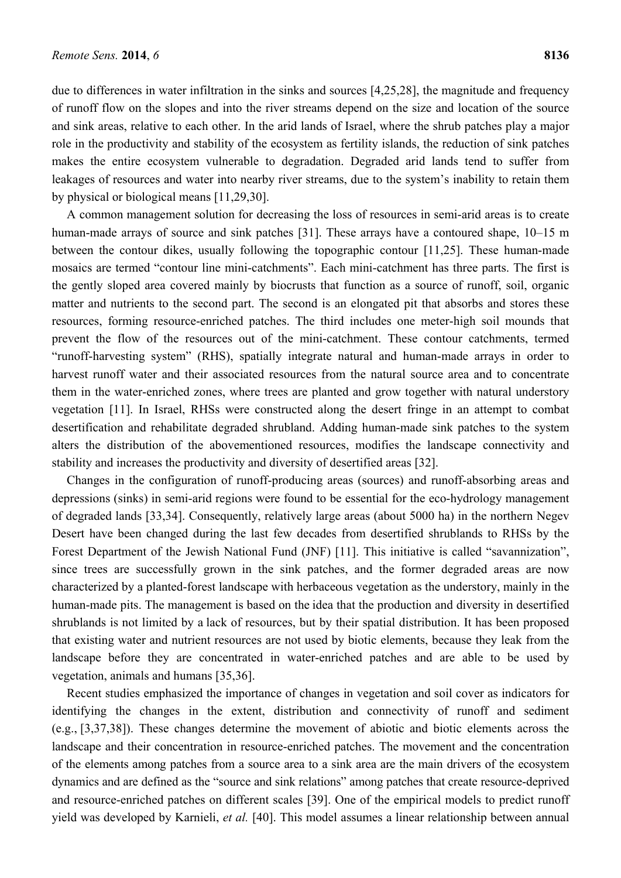due to differences in water infiltration in the sinks and sources [4,25,28], the magnitude and frequency of runoff flow on the slopes and into the river streams depend on the size and location of the source and sink areas, relative to each other. In the arid lands of Israel, where the shrub patches play a major role in the productivity and stability of the ecosystem as fertility islands, the reduction of sink patches makes the entire ecosystem vulnerable to degradation. Degraded arid lands tend to suffer from leakages of resources and water into nearby river streams, due to the system's inability to retain them by physical or biological means [11,29,30].

A common management solution for decreasing the loss of resources in semi-arid areas is to create human-made arrays of source and sink patches [31]. These arrays have a contoured shape, 10–15 m between the contour dikes, usually following the topographic contour [11,25]. These human-made mosaics are termed "contour line mini-catchments". Each mini-catchment has three parts. The first is the gently sloped area covered mainly by biocrusts that function as a source of runoff, soil, organic matter and nutrients to the second part. The second is an elongated pit that absorbs and stores these resources, forming resource-enriched patches. The third includes one meter-high soil mounds that prevent the flow of the resources out of the mini-catchment. These contour catchments, termed "runoff-harvesting system" (RHS), spatially integrate natural and human-made arrays in order to harvest runoff water and their associated resources from the natural source area and to concentrate them in the water-enriched zones, where trees are planted and grow together with natural understory vegetation [11]. In Israel, RHSs were constructed along the desert fringe in an attempt to combat desertification and rehabilitate degraded shrubland. Adding human-made sink patches to the system alters the distribution of the abovementioned resources, modifies the landscape connectivity and stability and increases the productivity and diversity of desertified areas [32].

Changes in the configuration of runoff-producing areas (sources) and runoff-absorbing areas and depressions (sinks) in semi-arid regions were found to be essential for the eco-hydrology management of degraded lands [33,34]. Consequently, relatively large areas (about 5000 ha) in the northern Negev Desert have been changed during the last few decades from desertified shrublands to RHSs by the Forest Department of the Jewish National Fund (JNF) [11]. This initiative is called "savannization", since trees are successfully grown in the sink patches, and the former degraded areas are now characterized by a planted-forest landscape with herbaceous vegetation as the understory, mainly in the human-made pits. The management is based on the idea that the production and diversity in desertified shrublands is not limited by a lack of resources, but by their spatial distribution. It has been proposed that existing water and nutrient resources are not used by biotic elements, because they leak from the landscape before they are concentrated in water-enriched patches and are able to be used by vegetation, animals and humans [35,36].

Recent studies emphasized the importance of changes in vegetation and soil cover as indicators for identifying the changes in the extent, distribution and connectivity of runoff and sediment (e.g., [3,37,38]). These changes determine the movement of abiotic and biotic elements across the landscape and their concentration in resource-enriched patches. The movement and the concentration of the elements among patches from a source area to a sink area are the main drivers of the ecosystem dynamics and are defined as the "source and sink relations" among patches that create resource-deprived and resource-enriched patches on different scales [39]. One of the empirical models to predict runoff yield was developed by Karnieli, *et al.* [40]. This model assumes a linear relationship between annual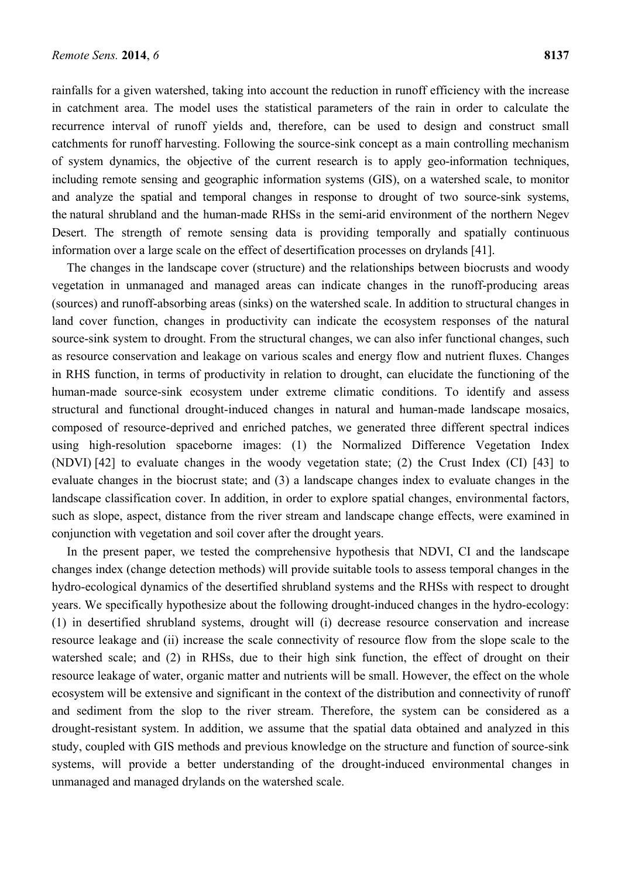rainfalls for a given watershed, taking into account the reduction in runoff efficiency with the increase in catchment area. The model uses the statistical parameters of the rain in order to calculate the recurrence interval of runoff yields and, therefore, can be used to design and construct small catchments for runoff harvesting. Following the source-sink concept as a main controlling mechanism of system dynamics, the objective of the current research is to apply geo-information techniques, including remote sensing and geographic information systems (GIS), on a watershed scale, to monitor and analyze the spatial and temporal changes in response to drought of two source-sink systems, the natural shrubland and the human-made RHSs in the semi-arid environment of the northern Negev Desert. The strength of remote sensing data is providing temporally and spatially continuous information over a large scale on the effect of desertification processes on drylands [41].

The changes in the landscape cover (structure) and the relationships between biocrusts and woody vegetation in unmanaged and managed areas can indicate changes in the runoff-producing areas (sources) and runoff-absorbing areas (sinks) on the watershed scale. In addition to structural changes in land cover function, changes in productivity can indicate the ecosystem responses of the natural source-sink system to drought. From the structural changes, we can also infer functional changes, such as resource conservation and leakage on various scales and energy flow and nutrient fluxes. Changes in RHS function, in terms of productivity in relation to drought, can elucidate the functioning of the human-made source-sink ecosystem under extreme climatic conditions. To identify and assess structural and functional drought-induced changes in natural and human-made landscape mosaics, composed of resource-deprived and enriched patches, we generated three different spectral indices using high-resolution spaceborne images: (1) the Normalized Difference Vegetation Index (NDVI) [42] to evaluate changes in the woody vegetation state; (2) the Crust Index (CI) [43] to evaluate changes in the biocrust state; and (3) a landscape changes index to evaluate changes in the landscape classification cover. In addition, in order to explore spatial changes, environmental factors, such as slope, aspect, distance from the river stream and landscape change effects, were examined in conjunction with vegetation and soil cover after the drought years.

In the present paper, we tested the comprehensive hypothesis that NDVI, CI and the landscape changes index (change detection methods) will provide suitable tools to assess temporal changes in the hydro-ecological dynamics of the desertified shrubland systems and the RHSs with respect to drought years. We specifically hypothesize about the following drought-induced changes in the hydro-ecology: (1) in desertified shrubland systems, drought will (i) decrease resource conservation and increase resource leakage and (ii) increase the scale connectivity of resource flow from the slope scale to the watershed scale; and (2) in RHSs, due to their high sink function, the effect of drought on their resource leakage of water, organic matter and nutrients will be small. However, the effect on the whole ecosystem will be extensive and significant in the context of the distribution and connectivity of runoff and sediment from the slop to the river stream. Therefore, the system can be considered as a drought-resistant system. In addition, we assume that the spatial data obtained and analyzed in this study, coupled with GIS methods and previous knowledge on the structure and function of source-sink systems, will provide a better understanding of the drought-induced environmental changes in unmanaged and managed drylands on the watershed scale.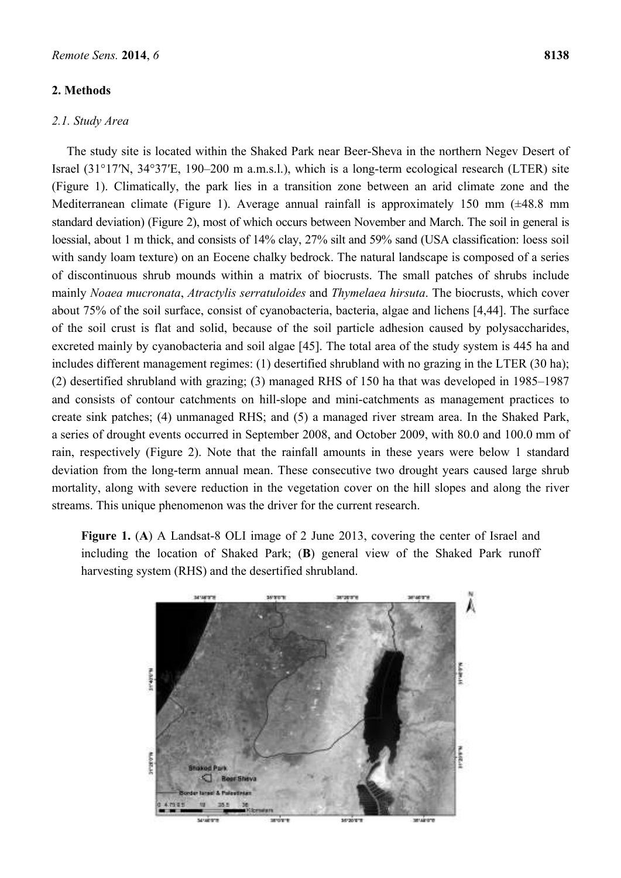## **2. Methods**

#### *2.1. Study Area*

The study site is located within the Shaked Park near Beer-Sheva in the northern Negev Desert of Israel (31°17ʹN, 34°37ʹE, 190–200 m a.m.s.l.), which is a long-term ecological research (LTER) site (Figure 1). Climatically, the park lies in a transition zone between an arid climate zone and the Mediterranean climate (Figure 1). Average annual rainfall is approximately 150 mm (±48.8 mm standard deviation) (Figure 2), most of which occurs between November and March. The soil in general is loessial, about 1 m thick, and consists of 14% clay, 27% silt and 59% sand (USA classification: loess soil with sandy loam texture) on an Eocene chalky bedrock. The natural landscape is composed of a series of discontinuous shrub mounds within a matrix of biocrusts. The small patches of shrubs include mainly *Noaea mucronata*, *Atractylis serratuloides* and *Thymelaea hirsuta*. The biocrusts, which cover about 75% of the soil surface, consist of cyanobacteria, bacteria, algae and lichens [4,44]. The surface of the soil crust is flat and solid, because of the soil particle adhesion caused by polysaccharides, excreted mainly by cyanobacteria and soil algae [45]. The total area of the study system is 445 ha and includes different management regimes: (1) desertified shrubland with no grazing in the LTER (30 ha); (2) desertified shrubland with grazing; (3) managed RHS of 150 ha that was developed in 1985–1987 and consists of contour catchments on hill-slope and mini-catchments as management practices to create sink patches; (4) unmanaged RHS; and (5) a managed river stream area. In the Shaked Park, a series of drought events occurred in September 2008, and October 2009, with 80.0 and 100.0 mm of rain, respectively (Figure 2). Note that the rainfall amounts in these years were below 1 standard deviation from the long-term annual mean. These consecutive two drought years caused large shrub mortality, along with severe reduction in the vegetation cover on the hill slopes and along the river streams. This unique phenomenon was the driver for the current research.

**Figure 1.** (**A**) A Landsat-8 OLI image of 2 June 2013, covering the center of Israel and including the location of Shaked Park; (**B**) general view of the Shaked Park runoff harvesting system (RHS) and the desertified shrubland.

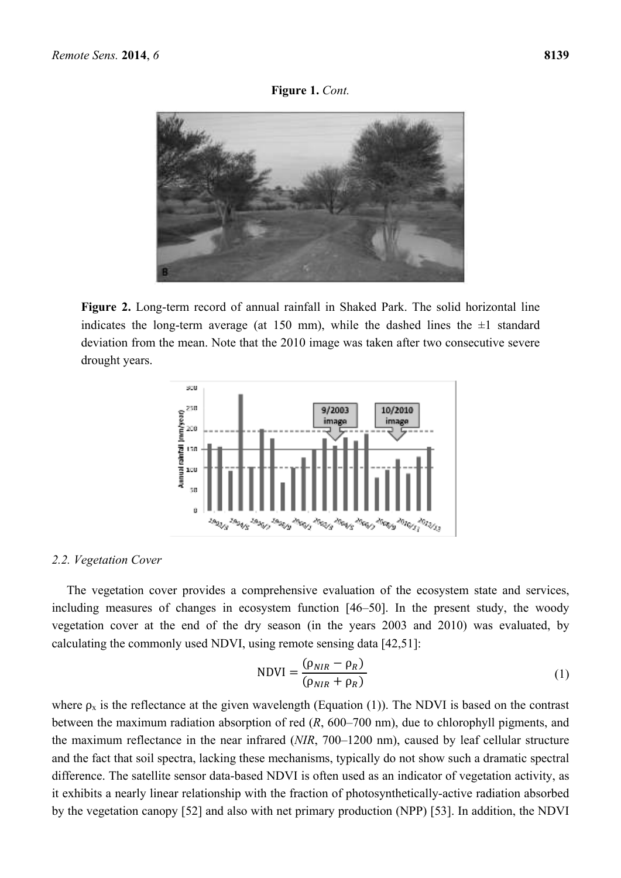

**Figure 2.** Long-term record of annual rainfall in Shaked Park. The solid horizontal line indicates the long-term average (at 150 mm), while the dashed lines the  $\pm 1$  standard deviation from the mean. Note that the 2010 image was taken after two consecutive severe drought years.



#### *2.2. Vegetation Cover*

The vegetation cover provides a comprehensive evaluation of the ecosystem state and services, including measures of changes in ecosystem function [46–50]. In the present study, the woody vegetation cover at the end of the dry season (in the years 2003 and 2010) was evaluated, by calculating the commonly used NDVI, using remote sensing data [42,51]:

$$
NDVI = \frac{(\rho_{NIR} - \rho_R)}{(\rho_{NIR} + \rho_R)}
$$
(1)

where  $\rho_x$  is the reflectance at the given wavelength (Equation (1)). The NDVI is based on the contrast between the maximum radiation absorption of red (*R*, 600–700 nm), due to chlorophyll pigments, and the maximum reflectance in the near infrared (*NIR*, 700–1200 nm), caused by leaf cellular structure and the fact that soil spectra, lacking these mechanisms, typically do not show such a dramatic spectral difference. The satellite sensor data-based NDVI is often used as an indicator of vegetation activity, as it exhibits a nearly linear relationship with the fraction of photosynthetically-active radiation absorbed by the vegetation canopy [52] and also with net primary production (NPP) [53]. In addition, the NDVI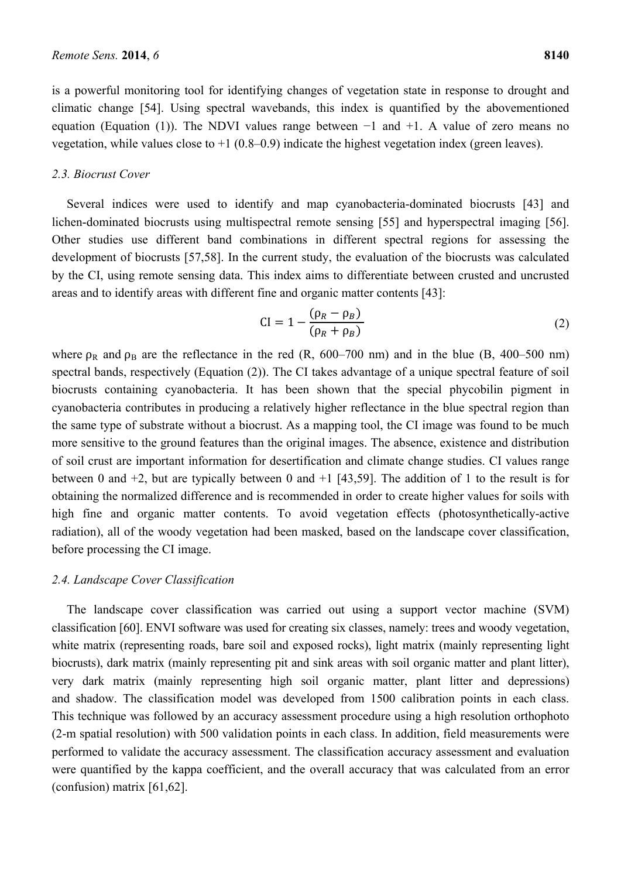is a powerful monitoring tool for identifying changes of vegetation state in response to drought and climatic change [54]. Using spectral wavebands, this index is quantified by the abovementioned equation (Equation (1)). The NDVI values range between −1 and +1. A value of zero means no vegetation, while values close to  $+1$  (0.8–0.9) indicate the highest vegetation index (green leaves).

#### *2.3. Biocrust Cover*

Several indices were used to identify and map cyanobacteria-dominated biocrusts [43] and lichen-dominated biocrusts using multispectral remote sensing [55] and hyperspectral imaging [56]. Other studies use different band combinations in different spectral regions for assessing the development of biocrusts [57,58]. In the current study, the evaluation of the biocrusts was calculated by the CI, using remote sensing data. This index aims to differentiate between crusted and uncrusted areas and to identify areas with different fine and organic matter contents [43]:

$$
CI = 1 - \frac{(\rho_R - \rho_B)}{(\rho_R + \rho_B)}
$$
\n(2)

where  $\rho_R$  and  $\rho_B$  are the reflectance in the red (R, 600–700 nm) and in the blue (B, 400–500 nm) spectral bands, respectively (Equation (2)). The CI takes advantage of a unique spectral feature of soil biocrusts containing cyanobacteria. It has been shown that the special phycobilin pigment in cyanobacteria contributes in producing a relatively higher reflectance in the blue spectral region than the same type of substrate without a biocrust. As a mapping tool, the CI image was found to be much more sensitive to the ground features than the original images. The absence, existence and distribution of soil crust are important information for desertification and climate change studies. CI values range between 0 and +2, but are typically between 0 and +1 [43,59]. The addition of 1 to the result is for obtaining the normalized difference and is recommended in order to create higher values for soils with high fine and organic matter contents. To avoid vegetation effects (photosynthetically-active radiation), all of the woody vegetation had been masked, based on the landscape cover classification, before processing the CI image.

#### *2.4. Landscape Cover Classification*

The landscape cover classification was carried out using a support vector machine (SVM) classification [60]. ENVI software was used for creating six classes, namely: trees and woody vegetation, white matrix (representing roads, bare soil and exposed rocks), light matrix (mainly representing light biocrusts), dark matrix (mainly representing pit and sink areas with soil organic matter and plant litter), very dark matrix (mainly representing high soil organic matter, plant litter and depressions) and shadow. The classification model was developed from 1500 calibration points in each class. This technique was followed by an accuracy assessment procedure using a high resolution orthophoto (2-m spatial resolution) with 500 validation points in each class. In addition, field measurements were performed to validate the accuracy assessment. The classification accuracy assessment and evaluation were quantified by the kappa coefficient, and the overall accuracy that was calculated from an error (confusion) matrix [61,62].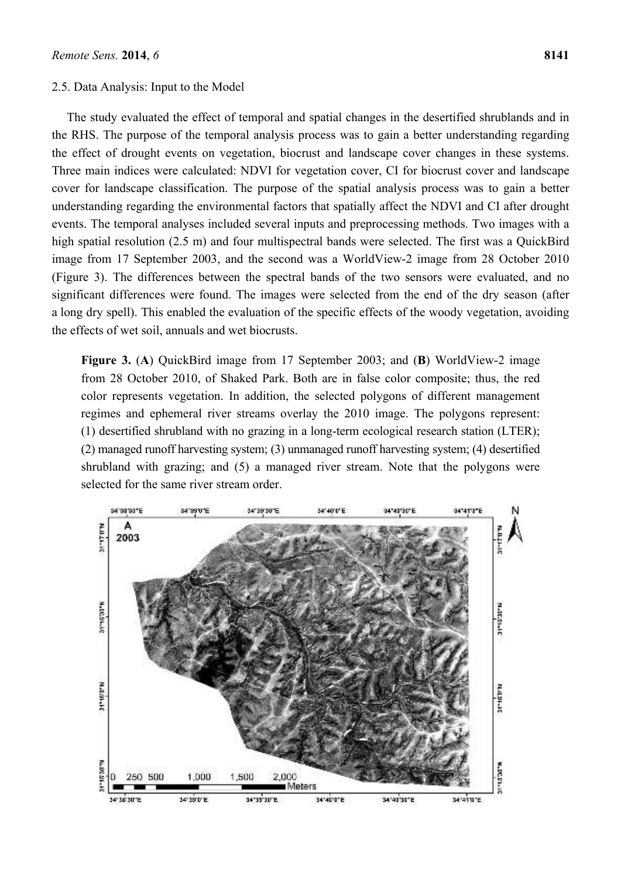#### 2.5. Data Analysis: Input to the Model

The study evaluated the effect of temporal and spatial changes in the desertified shrublands and in the RHS. The purpose of the temporal analysis process was to gain a better understanding regarding the effect of drought events on vegetation, biocrust and landscape cover changes in these systems. Three main indices were calculated: NDVI for vegetation cover, CI for biocrust cover and landscape cover for landscape classification. The purpose of the spatial analysis process was to gain a better understanding regarding the environmental factors that spatially affect the NDVI and CI after drought events. The temporal analyses included several inputs and preprocessing methods. Two images with a high spatial resolution (2.5 m) and four multispectral bands were selected. The first was a QuickBird image from 17 September 2003, and the second was a WorldView-2 image from 28 October 2010 (Figure 3). The differences between the spectral bands of the two sensors were evaluated, and no significant differences were found. The images were selected from the end of the dry season (after a long dry spell). This enabled the evaluation of the specific effects of the woody vegetation, avoiding the effects of wet soil, annuals and wet biocrusts.

**Figure 3.** (**A**) QuickBird image from 17 September 2003; and (**B**) WorldView-2 image from 28 October 2010, of Shaked Park. Both are in false color composite; thus, the red color represents vegetation. In addition, the selected polygons of different management regimes and ephemeral river streams overlay the 2010 image. The polygons represent: (1) desertified shrubland with no grazing in a long-term ecological research station (LTER); (2) managed runoff harvesting system; (3) unmanaged runoff harvesting system; (4) desertified shrubland with grazing; and (5) a managed river stream. Note that the polygons were selected for the same river stream order.

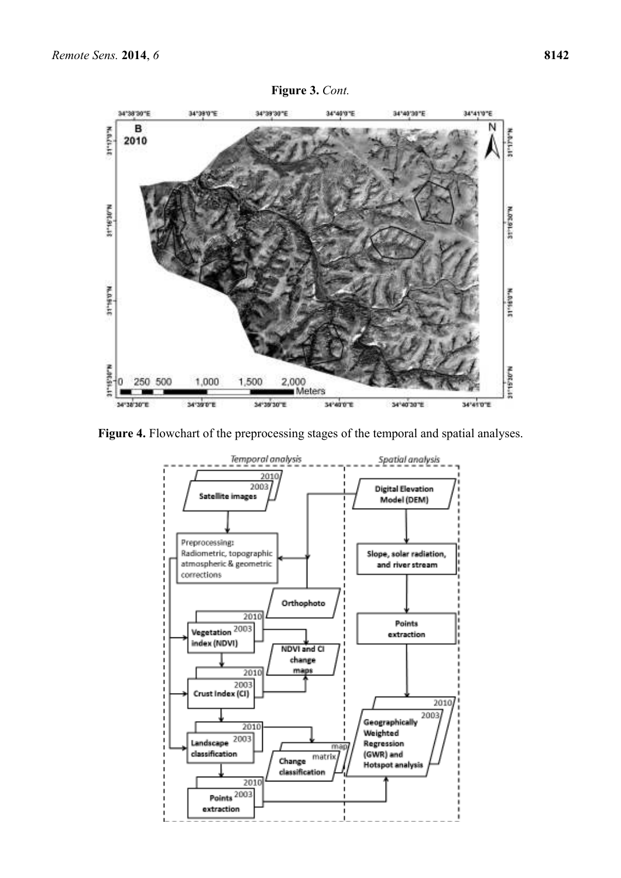

**Figure 4.** Flowchart of the preprocessing stages of the temporal and spatial analyses.



#### **Figure 3.** *Cont.*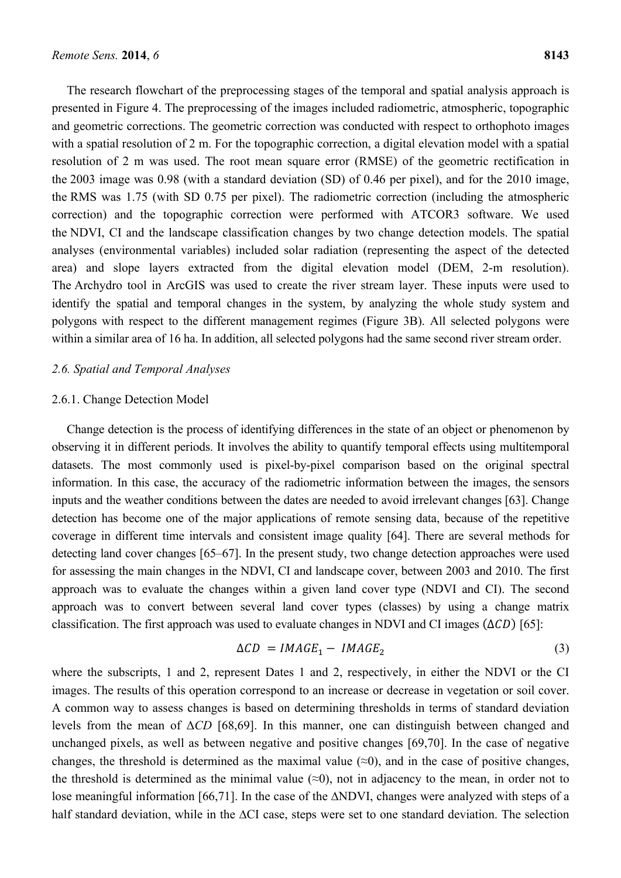The research flowchart of the preprocessing stages of the temporal and spatial analysis approach is presented in Figure 4. The preprocessing of the images included radiometric, atmospheric, topographic and geometric corrections. The geometric correction was conducted with respect to orthophoto images with a spatial resolution of 2 m. For the topographic correction, a digital elevation model with a spatial resolution of 2 m was used. The root mean square error (RMSE) of the geometric rectification in the 2003 image was 0.98 (with a standard deviation (SD) of 0.46 per pixel), and for the 2010 image, the RMS was 1.75 (with SD 0.75 per pixel). The radiometric correction (including the atmospheric correction) and the topographic correction were performed with ATCOR3 software. We used the NDVI, CI and the landscape classification changes by two change detection models. The spatial analyses (environmental variables) included solar radiation (representing the aspect of the detected area) and slope layers extracted from the digital elevation model (DEM, 2-m resolution). The Archydro tool in ArcGIS was used to create the river stream layer. These inputs were used to identify the spatial and temporal changes in the system, by analyzing the whole study system and polygons with respect to the different management regimes (Figure 3B). All selected polygons were within a similar area of 16 ha. In addition, all selected polygons had the same second river stream order.

## *2.6. Spatial and Temporal Analyses*

## 2.6.1. Change Detection Model

Change detection is the process of identifying differences in the state of an object or phenomenon by observing it in different periods. It involves the ability to quantify temporal effects using multitemporal datasets. The most commonly used is pixel-by-pixel comparison based on the original spectral information. In this case, the accuracy of the radiometric information between the images, the sensors inputs and the weather conditions between the dates are needed to avoid irrelevant changes [63]. Change detection has become one of the major applications of remote sensing data, because of the repetitive coverage in different time intervals and consistent image quality [64]. There are several methods for detecting land cover changes [65–67]. In the present study, two change detection approaches were used for assessing the main changes in the NDVI, CI and landscape cover, between 2003 and 2010. The first approach was to evaluate the changes within a given land cover type (NDVI and CI). The second approach was to convert between several land cover types (classes) by using a change matrix classification. The first approach was used to evaluate changes in NDVI and CI images  $(\Delta CD)$  [65]:

$$
\Delta CD = IMAGE_1 - IMAGE_2 \tag{3}
$$

where the subscripts, 1 and 2, represent Dates 1 and 2, respectively, in either the NDVI or the CI images. The results of this operation correspond to an increase or decrease in vegetation or soil cover. A common way to assess changes is based on determining thresholds in terms of standard deviation levels from the mean of Δ*CD* [68,69]. In this manner, one can distinguish between changed and unchanged pixels, as well as between negative and positive changes [69,70]. In the case of negative changes, the threshold is determined as the maximal value  $(\approx 0)$ , and in the case of positive changes, the threshold is determined as the minimal value  $(\approx 0)$ , not in adjacency to the mean, in order not to lose meaningful information [66,71]. In the case of the ∆NDVI, changes were analyzed with steps of a half standard deviation, while in the ∆CI case, steps were set to one standard deviation. The selection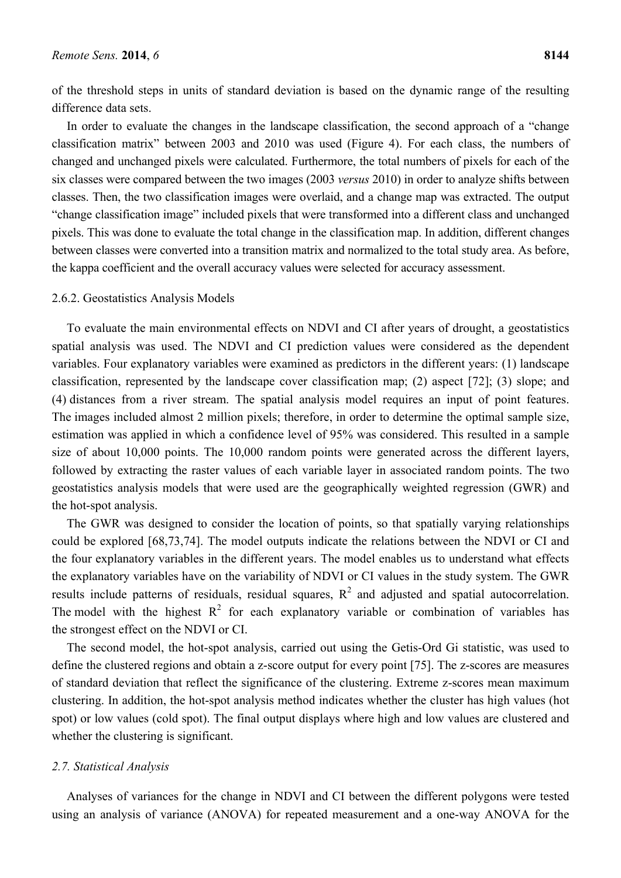of the threshold steps in units of standard deviation is based on the dynamic range of the resulting difference data sets.

In order to evaluate the changes in the landscape classification, the second approach of a "change classification matrix" between 2003 and 2010 was used (Figure 4). For each class, the numbers of changed and unchanged pixels were calculated. Furthermore, the total numbers of pixels for each of the six classes were compared between the two images (2003 *versus* 2010) in order to analyze shifts between classes. Then, the two classification images were overlaid, and a change map was extracted. The output "change classification image" included pixels that were transformed into a different class and unchanged pixels. This was done to evaluate the total change in the classification map. In addition, different changes between classes were converted into a transition matrix and normalized to the total study area. As before, the kappa coefficient and the overall accuracy values were selected for accuracy assessment.

## 2.6.2. Geostatistics Analysis Models

To evaluate the main environmental effects on NDVI and CI after years of drought, a geostatistics spatial analysis was used. The NDVI and CI prediction values were considered as the dependent variables. Four explanatory variables were examined as predictors in the different years: (1) landscape classification, represented by the landscape cover classification map; (2) aspect [72]; (3) slope; and (4) distances from a river stream. The spatial analysis model requires an input of point features. The images included almost 2 million pixels; therefore, in order to determine the optimal sample size, estimation was applied in which a confidence level of 95% was considered. This resulted in a sample size of about 10,000 points. The 10,000 random points were generated across the different layers, followed by extracting the raster values of each variable layer in associated random points. The two geostatistics analysis models that were used are the geographically weighted regression (GWR) and the hot-spot analysis.

The GWR was designed to consider the location of points, so that spatially varying relationships could be explored [68,73,74]. The model outputs indicate the relations between the NDVI or CI and the four explanatory variables in the different years. The model enables us to understand what effects the explanatory variables have on the variability of NDVI or CI values in the study system. The GWR results include patterns of residuals, residual squares,  $R^2$  and adjusted and spatial autocorrelation. The model with the highest  $R^2$  for each explanatory variable or combination of variables has the strongest effect on the NDVI or CI.

The second model, the hot-spot analysis, carried out using the Getis-Ord Gi statistic, was used to define the clustered regions and obtain a z-score output for every point [75]. The z-scores are measures of standard deviation that reflect the significance of the clustering. Extreme z-scores mean maximum clustering. In addition, the hot-spot analysis method indicates whether the cluster has high values (hot spot) or low values (cold spot). The final output displays where high and low values are clustered and whether the clustering is significant.

#### *2.7. Statistical Analysis*

Analyses of variances for the change in NDVI and CI between the different polygons were tested using an analysis of variance (ANOVA) for repeated measurement and a one-way ANOVA for the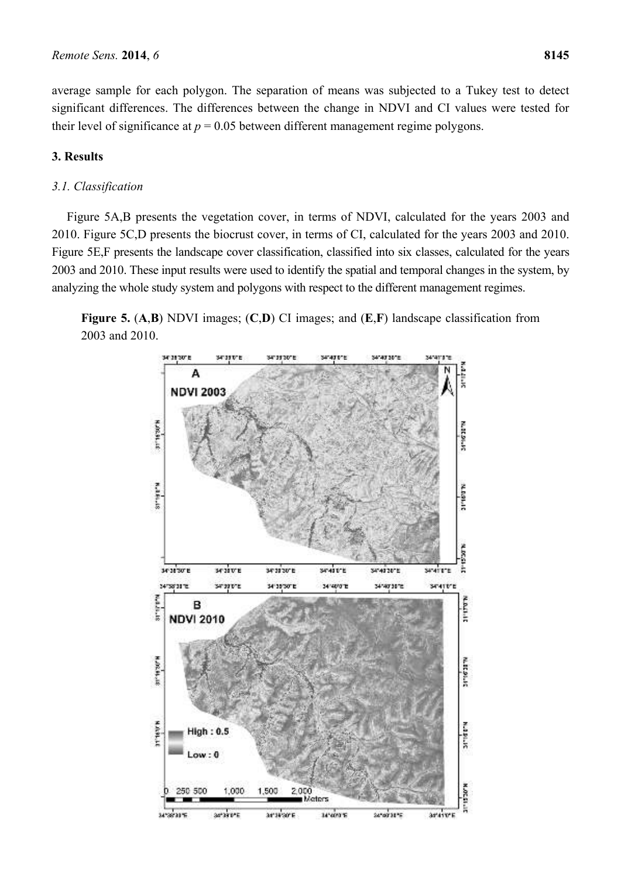average sample for each polygon. The separation of means was subjected to a Tukey test to detect significant differences. The differences between the change in NDVI and CI values were tested for their level of significance at  $p = 0.05$  between different management regime polygons.

# **3. Results**

# *3.1. Classification*

Figure 5A,B presents the vegetation cover, in terms of NDVI, calculated for the years 2003 and 2010. Figure 5C,D presents the biocrust cover, in terms of CI, calculated for the years 2003 and 2010. Figure 5E,F presents the landscape cover classification, classified into six classes, calculated for the years 2003 and 2010. These input results were used to identify the spatial and temporal changes in the system, by analyzing the whole study system and polygons with respect to the different management regimes.

**Figure 5.** (**A**,**B**) NDVI images; (**C**,**D**) CI images; and (**E**,**F**) landscape classification from 2003 and 2010.

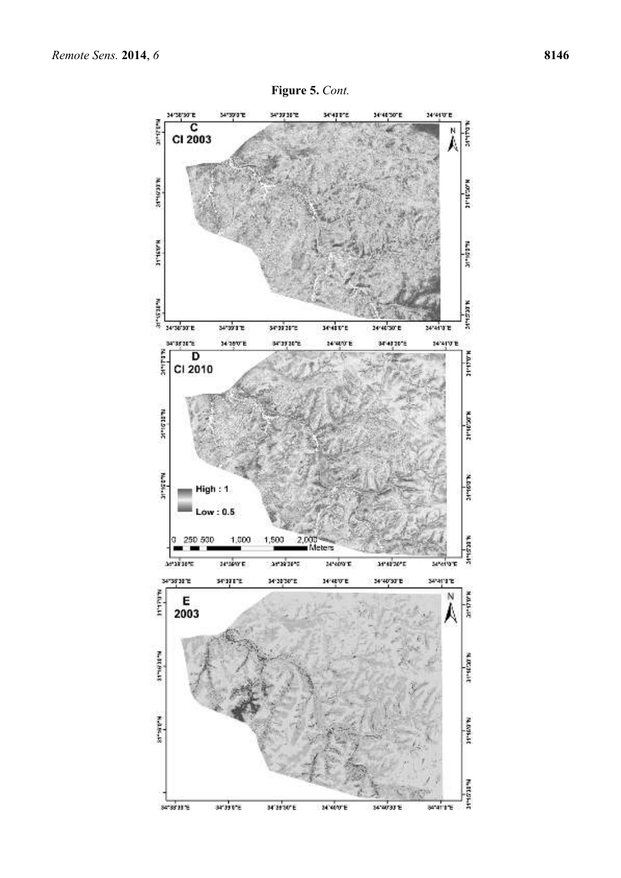

**Figure 5.** *Cont.*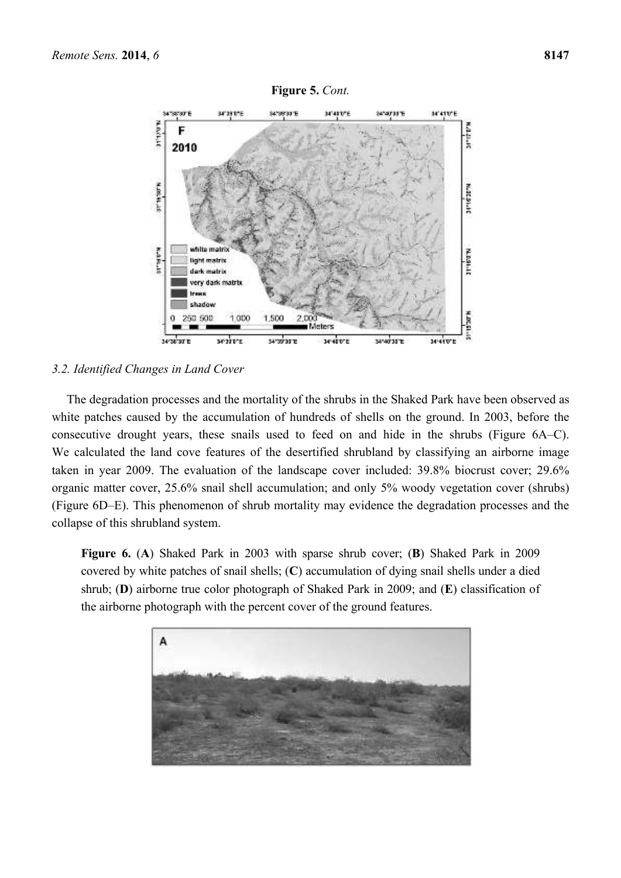

## **Figure 5.** *Cont.*

## *3.2. Identified Changes in Land Cover*

The degradation processes and the mortality of the shrubs in the Shaked Park have been observed as white patches caused by the accumulation of hundreds of shells on the ground. In 2003, before the consecutive drought years, these snails used to feed on and hide in the shrubs (Figure 6A–C). We calculated the land cove features of the desertified shrubland by classifying an airborne image taken in year 2009. The evaluation of the landscape cover included: 39.8% biocrust cover; 29.6% organic matter cover, 25.6% snail shell accumulation; and only 5% woody vegetation cover (shrubs) (Figure 6D–E). This phenomenon of shrub mortality may evidence the degradation processes and the collapse of this shrubland system.

**Figure 6.** (**A**) Shaked Park in 2003 with sparse shrub cover; (**B**) Shaked Park in 2009 covered by white patches of snail shells; (**C**) accumulation of dying snail shells under a died shrub; (**D**) airborne true color photograph of Shaked Park in 2009; and (**E**) classification of the airborne photograph with the percent cover of the ground features.

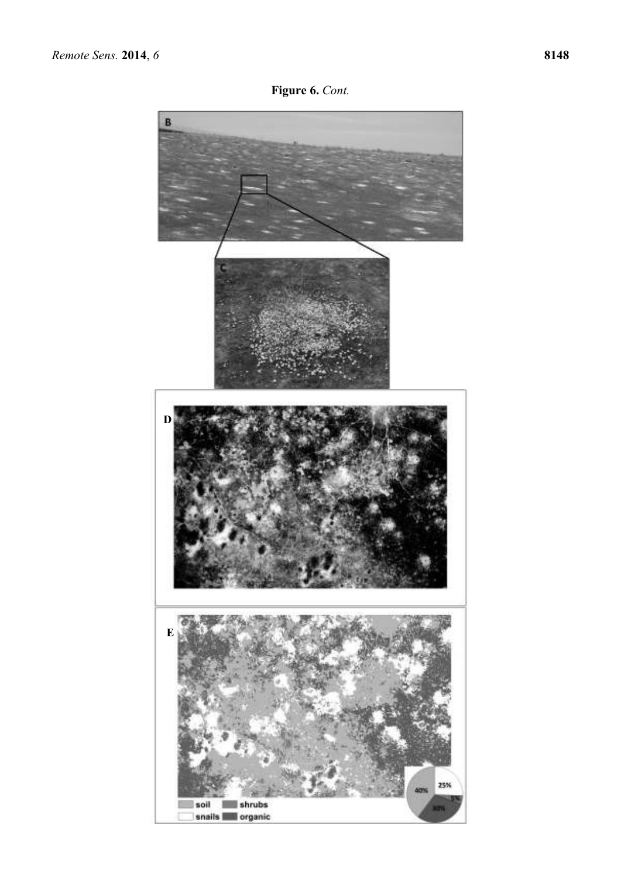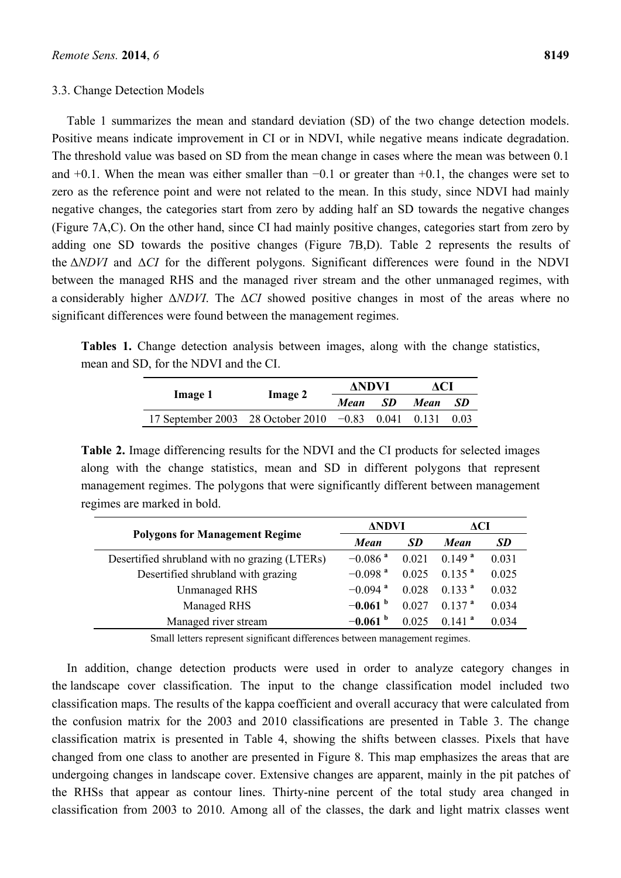## 3.3. Change Detection Models

Table 1 summarizes the mean and standard deviation (SD) of the two change detection models. Positive means indicate improvement in CI or in NDVI, while negative means indicate degradation. The threshold value was based on SD from the mean change in cases where the mean was between 0.1 and +0.1. When the mean was either smaller than −0.1 or greater than +0.1, the changes were set to zero as the reference point and were not related to the mean. In this study, since NDVI had mainly negative changes, the categories start from zero by adding half an SD towards the negative changes (Figure 7A,C). On the other hand, since CI had mainly positive changes, categories start from zero by adding one SD towards the positive changes (Figure 7B,D). Table 2 represents the results of the Δ*NDVI* and Δ*CI* for the different polygons. Significant differences were found in the NDVI between the managed RHS and the managed river stream and the other unmanaged regimes, with a considerably higher Δ*NDVI*. The Δ*CI* showed positive changes in most of the areas where no significant differences were found between the management regimes.

**Tables 1.** Change detection analysis between images, along with the change statistics, mean and SD, for the NDVI and the CI.

|                                                       |                        | <b>ANDVI</b> |     | ACI         |      |
|-------------------------------------------------------|------------------------|--------------|-----|-------------|------|
| Image 1                                               | Image 2<br><b>Mean</b> |              | -SD | <b>Mean</b> | -SD  |
| 17 September 2003 28 October 2010 $-0.83$ 0.041 0.131 |                        |              |     |             | 0.03 |

**Table 2.** Image differencing results for the NDVI and the CI products for selected images along with the change statistics, mean and SD in different polygons that represent management regimes. The polygons that were significantly different between management regimes are marked in bold.

|                                               | <b>ANDVI</b>          |           | ΔCI                  |           |
|-----------------------------------------------|-----------------------|-----------|----------------------|-----------|
| <b>Polygons for Management Regime</b>         | Mean                  | <b>SD</b> | <b>Mean</b>          | <b>SD</b> |
| Desertified shrubland with no grazing (LTERs) | $-0.086$ <sup>a</sup> | 0.021     | 0.149 <sup>a</sup>   | 0.031     |
| Desertified shrubland with grazing            | $-0.098$ <sup>a</sup> | 0.025     | $0.135$ <sup>a</sup> | 0.025     |
| <b>Unmanaged RHS</b>                          | $-0.094$ <sup>a</sup> | 0.028     | $0.133$ <sup>a</sup> | 0.032     |
| Managed RHS                                   | $-0.061$ b            | 0.027     | $0.137$ <sup>a</sup> | 0.034     |
| Managed river stream                          | $-0.061$ b            | 0.025     | $0.141$ <sup>a</sup> | 0.034     |

Small letters represent significant differences between management regimes.

In addition, change detection products were used in order to analyze category changes in the landscape cover classification. The input to the change classification model included two classification maps. The results of the kappa coefficient and overall accuracy that were calculated from the confusion matrix for the 2003 and 2010 classifications are presented in Table 3. The change classification matrix is presented in Table 4, showing the shifts between classes. Pixels that have changed from one class to another are presented in Figure 8. This map emphasizes the areas that are undergoing changes in landscape cover. Extensive changes are apparent, mainly in the pit patches of the RHSs that appear as contour lines. Thirty-nine percent of the total study area changed in classification from 2003 to 2010. Among all of the classes, the dark and light matrix classes went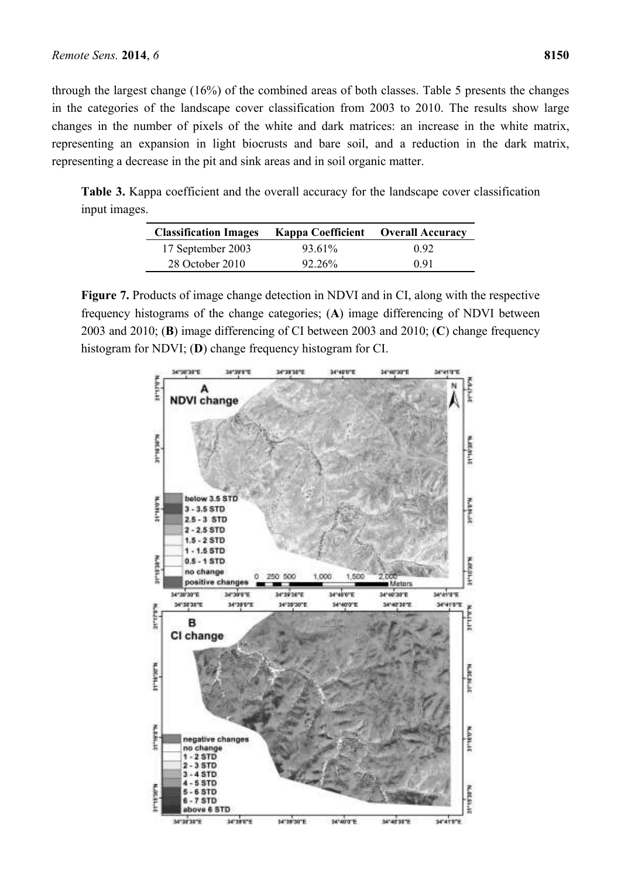through the largest change (16%) of the combined areas of both classes. Table 5 presents the changes in the categories of the landscape cover classification from 2003 to 2010. The results show large changes in the number of pixels of the white and dark matrices: an increase in the white matrix, representing an expansion in light biocrusts and bare soil, and a reduction in the dark matrix, representing a decrease in the pit and sink areas and in soil organic matter.

**Table 3.** Kappa coefficient and the overall accuracy for the landscape cover classification input images.

| <b>Classification Images</b> | Kappa Coefficient Overall Accuracy |      |
|------------------------------|------------------------------------|------|
| 17 September 2003            | 93.61%                             | 0.92 |
| 28 October 2010              | 92.26%                             | 0.91 |

**Figure 7.** Products of image change detection in NDVI and in CI, along with the respective frequency histograms of the change categories; (**A**) image differencing of NDVI between 2003 and 2010; (**B**) image differencing of CI between 2003 and 2010; (**C**) change frequency histogram for NDVI; (**D**) change frequency histogram for CI.

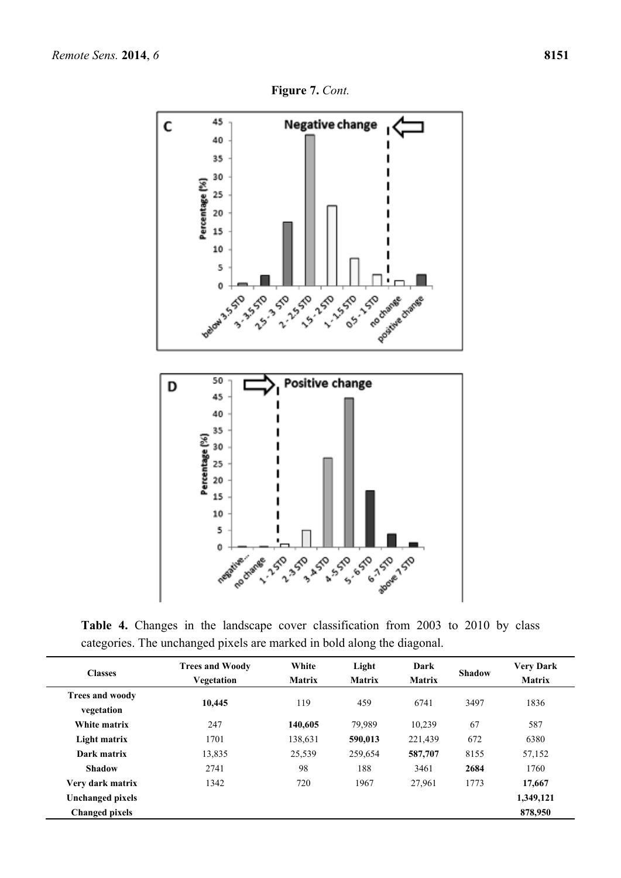

**Figure 7.** *Cont.* 

**Table 4.** Changes in the landscape cover classification from 2003 to 2010 by class categories. The unchanged pixels are marked in bold along the diagonal.

| <b>Classes</b>                       | <b>Trees and Woody</b><br>Vegetation | White<br><b>Matrix</b> | Light<br><b>Matrix</b> | Dark<br><b>Matrix</b> | <b>Shadow</b> | <b>Very Dark</b><br><b>Matrix</b> |
|--------------------------------------|--------------------------------------|------------------------|------------------------|-----------------------|---------------|-----------------------------------|
| <b>Trees and woody</b><br>vegetation | 10.445                               | 119                    | 459                    | 6741                  | 3497          | 1836                              |
| White matrix                         | 247                                  | 140,605                | 79,989                 | 10,239                | 67            | 587                               |
| Light matrix                         | 1701                                 | 138,631                | 590,013                | 221,439               | 672           | 6380                              |
| Dark matrix                          | 13,835                               | 25,539                 | 259,654                | 587,707               | 8155          | 57,152                            |
| <b>Shadow</b>                        | 2741                                 | 98                     | 188                    | 3461                  | 2684          | 1760                              |
| Very dark matrix                     | 1342                                 | 720                    | 1967                   | 27,961                | 1773          | 17,667                            |
| <b>Unchanged pixels</b>              |                                      |                        |                        |                       |               | 1,349,121                         |
| <b>Changed pixels</b>                |                                      |                        |                        |                       |               | 878,950                           |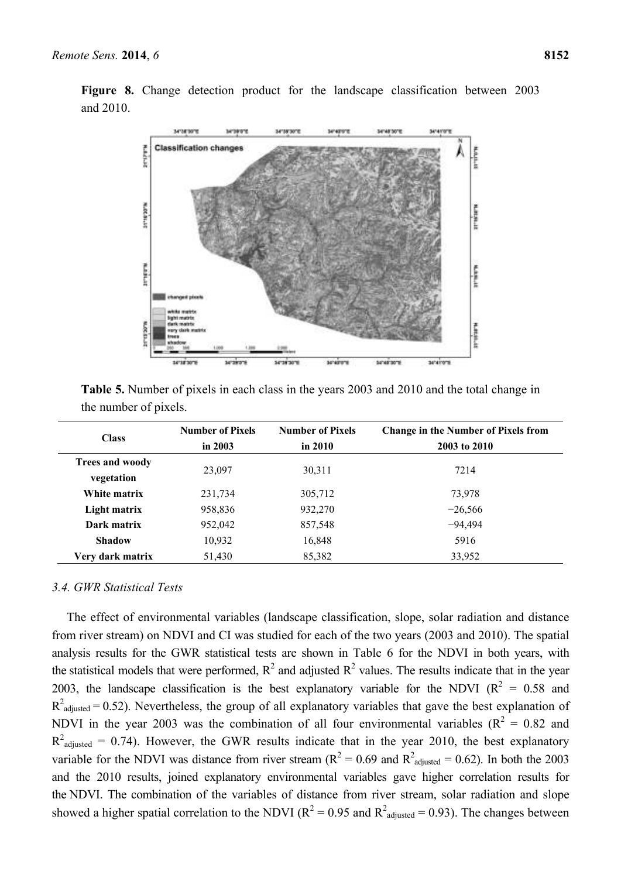

**Figure 8.** Change detection product for the landscape classification between 2003 and 2010.

**Table 5.** Number of pixels in each class in the years 2003 and 2010 and the total change in the number of pixels.

| <b>Class</b>                         | <b>Number of Pixels</b><br>in $2003$ | <b>Number of Pixels</b><br>in $2010$ | <b>Change in the Number of Pixels from</b><br>2003 to 2010 |
|--------------------------------------|--------------------------------------|--------------------------------------|------------------------------------------------------------|
| <b>Trees and woody</b><br>vegetation | 23,097                               | 30,311                               | 7214                                                       |
| White matrix                         | 231,734                              | 305,712                              | 73,978                                                     |
| Light matrix                         | 958,836                              | 932,270                              | $-26,566$                                                  |
| Dark matrix                          | 952,042                              | 857,548                              | $-94,494$                                                  |
| <b>Shadow</b>                        | 10,932                               | 16,848                               | 5916                                                       |
| Very dark matrix                     | 51,430                               | 85,382                               | 33,952                                                     |

## *3.4. GWR Statistical Tests*

The effect of environmental variables (landscape classification, slope, solar radiation and distance from river stream) on NDVI and CI was studied for each of the two years (2003 and 2010). The spatial analysis results for the GWR statistical tests are shown in Table 6 for the NDVI in both years, with the statistical models that were performed,  $R^2$  and adjusted  $R^2$  values. The results indicate that in the year 2003, the landscape classification is the best explanatory variable for the NDVI ( $R^2 = 0.58$  and  $R^2$ <sub>adjusted</sub> = 0.52). Nevertheless, the group of all explanatory variables that gave the best explanation of NDVI in the year 2003 was the combination of all four environmental variables ( $R^2 = 0.82$  and  $R^2$ <sub>adjusted</sub> = 0.74). However, the GWR results indicate that in the year 2010, the best explanatory variable for the NDVI was distance from river stream ( $R^2 = 0.69$  and  $R^2$ <sub>adjusted</sub> = 0.62). In both the 2003 and the 2010 results, joined explanatory environmental variables gave higher correlation results for the NDVI. The combination of the variables of distance from river stream, solar radiation and slope showed a higher spatial correlation to the NDVI ( $R^2 = 0.95$  and  $R^2$ <sub>adjusted</sub> = 0.93). The changes between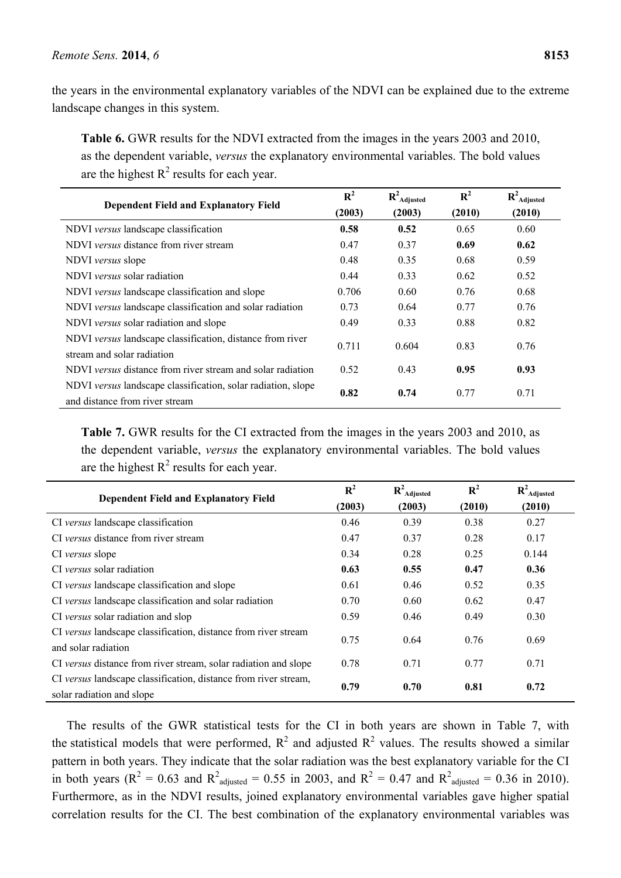the years in the environmental explanatory variables of the NDVI can be explained due to the extreme landscape changes in this system.

**Table 6.** GWR results for the NDVI extracted from the images in the years 2003 and 2010, as the dependent variable, *versus* the explanatory environmental variables. The bold values are the highest  $R^2$  results for each year.

| <b>Dependent Field and Explanatory Field</b>                                                   | $\mathbf{R}^2$<br>(2003) | $R^2$ Adjusted<br>(2003) | $\mathbb{R}^2$<br>(2010) | $R^2$ Adjusted<br>(2010) |
|------------------------------------------------------------------------------------------------|--------------------------|--------------------------|--------------------------|--------------------------|
| NDVI versus landscape classification                                                           | 0.58                     | 0.52                     | 0.65                     | 0.60                     |
| NDVI <i>versus</i> distance from river stream                                                  | 0.47                     | 0.37                     | 0.69                     | 0.62                     |
| NDVI <i>versus</i> slope                                                                       | 0.48                     | 0.35                     | 0.68                     | 0.59                     |
| NDVI versus solar radiation                                                                    | 0.44                     | 0.33                     | 0.62                     | 0.52                     |
| NDVI versus landscape classification and slope                                                 | 0.706                    | 0.60                     | 0.76                     | 0.68                     |
| NDVI versus landscape classification and solar radiation                                       | 0.73                     | 0.64                     | 0.77                     | 0.76                     |
| NDVI versus solar radiation and slope                                                          | 0.49                     | 0.33                     | 0.88                     | 0.82                     |
| NDVI versus landscape classification, distance from river<br>stream and solar radiation        | 0.711                    | 0.604                    | 0.83                     | 0.76                     |
| NDVI versus distance from river stream and solar radiation                                     | 0.52                     | 0.43                     | 0.95                     | 0.93                     |
| NDVI versus landscape classification, solar radiation, slope<br>and distance from river stream | 0.82                     | 0.74                     | 0.77                     | 0.71                     |

**Table 7.** GWR results for the CI extracted from the images in the years 2003 and 2010, as the dependent variable, *versus* the explanatory environmental variables. The bold values are the highest  $R^2$  results for each year.

| <b>Dependent Field and Explanatory Field</b>                                                 | $\mathbb{R}^2$<br>(2003) | $R^2$ Adjusted<br>(2003) | $\mathbb{R}^2$<br>(2010) | $R^2$ Adjusted<br>(2010) |
|----------------------------------------------------------------------------------------------|--------------------------|--------------------------|--------------------------|--------------------------|
| CI versus landscape classification                                                           | 0.46                     | 0.39                     | 0.38                     | 0.27                     |
| CI versus distance from river stream                                                         | 0.47                     | 0.37                     | 0.28                     | 0.17                     |
| CI versus slope                                                                              | 0.34                     | 0.28                     | 0.25                     | 0.144                    |
| CI versus solar radiation                                                                    | 0.63                     | 0.55                     | 0.47                     | 0.36                     |
| CI versus landscape classification and slope                                                 | 0.61                     | 0.46                     | 0.52                     | 0.35                     |
| CI versus landscape classification and solar radiation                                       | 0.70                     | 0.60                     | 0.62                     | 0.47                     |
| CI versus solar radiation and slop                                                           | 0.59                     | 0.46                     | 0.49                     | 0.30                     |
| CI versus landscape classification, distance from river stream<br>and solar radiation        | 0.75                     | 0.64                     | 0.76                     | 0.69                     |
| CI versus distance from river stream, solar radiation and slope                              | 0.78                     | 0.71                     | 0.77                     | 0.71                     |
| CI versus landscape classification, distance from river stream,<br>solar radiation and slope | 0.79                     | 0.70                     | 0.81                     | 0.72                     |

The results of the GWR statistical tests for the CI in both years are shown in Table 7, with the statistical models that were performed,  $R^2$  and adjusted  $R^2$  values. The results showed a similar pattern in both years. They indicate that the solar radiation was the best explanatory variable for the CI in both years ( $R^2 = 0.63$  and  $R^2$ <sub>adjusted</sub> = 0.55 in 2003, and  $R^2 = 0.47$  and  $R^2$ <sub>adjusted</sub> = 0.36 in 2010). Furthermore, as in the NDVI results, joined explanatory environmental variables gave higher spatial correlation results for the CI. The best combination of the explanatory environmental variables was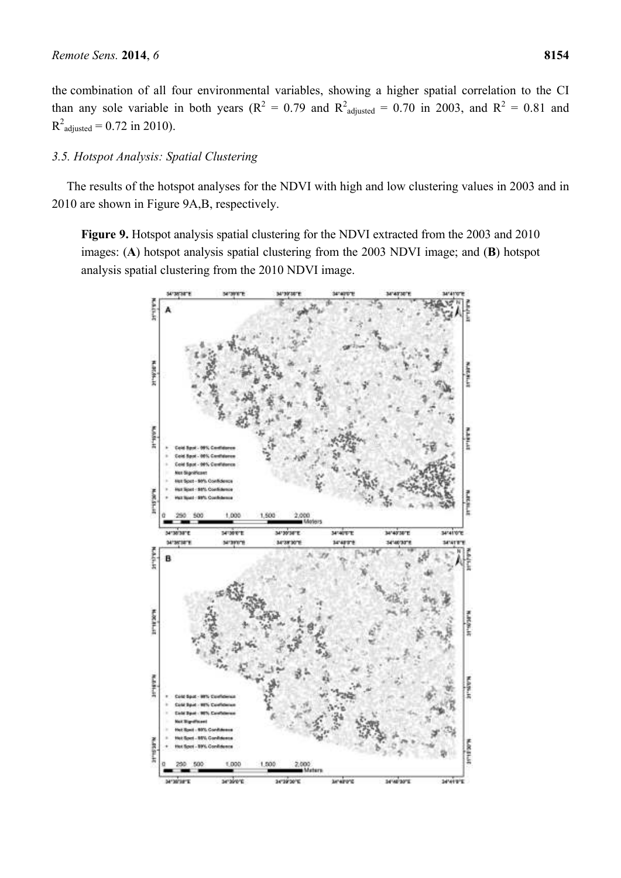the combination of all four environmental variables, showing a higher spatial correlation to the CI than any sole variable in both years ( $R^2 = 0.79$  and  $R^2$ <sub>adjusted</sub> = 0.70 in 2003, and  $R^2 = 0.81$  and  $R^2$ <sub>adjusted</sub> = 0.72 in 2010).

## *3.5. Hotspot Analysis: Spatial Clustering*

The results of the hotspot analyses for the NDVI with high and low clustering values in 2003 and in 2010 are shown in Figure 9A,B, respectively.

**Figure 9.** Hotspot analysis spatial clustering for the NDVI extracted from the 2003 and 2010 images: (**A**) hotspot analysis spatial clustering from the 2003 NDVI image; and (**B**) hotspot analysis spatial clustering from the 2010 NDVI image.

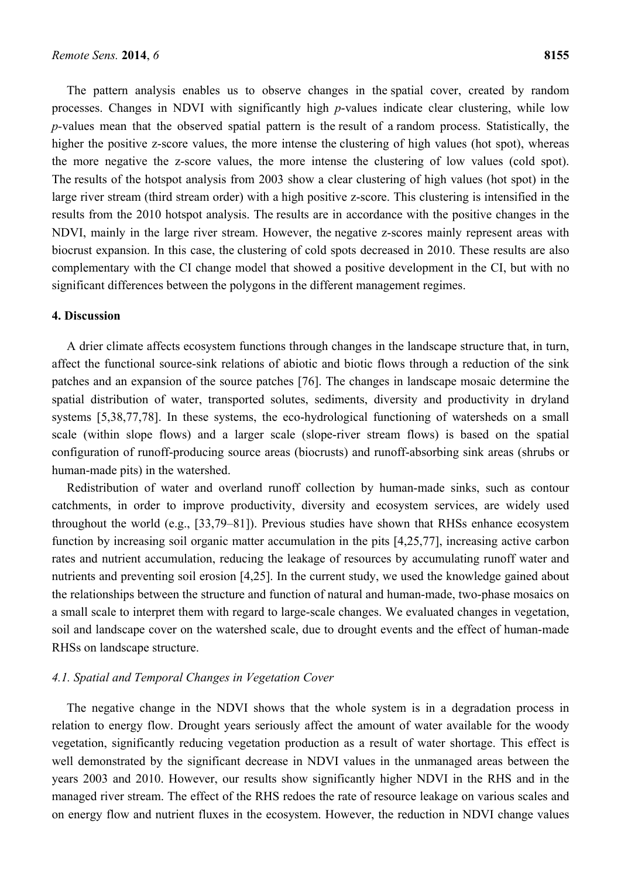The pattern analysis enables us to observe changes in the spatial cover, created by random processes. Changes in NDVI with significantly high *p*-values indicate clear clustering, while low *p-*values mean that the observed spatial pattern is the result of a random process. Statistically, the higher the positive z-score values, the more intense the clustering of high values (hot spot), whereas the more negative the z-score values, the more intense the clustering of low values (cold spot). The results of the hotspot analysis from 2003 show a clear clustering of high values (hot spot) in the large river stream (third stream order) with a high positive z-score. This clustering is intensified in the results from the 2010 hotspot analysis. The results are in accordance with the positive changes in the NDVI, mainly in the large river stream. However, the negative z-scores mainly represent areas with biocrust expansion. In this case, the clustering of cold spots decreased in 2010. These results are also complementary with the CI change model that showed a positive development in the CI, but with no significant differences between the polygons in the different management regimes.

## **4. Discussion**

A drier climate affects ecosystem functions through changes in the landscape structure that, in turn, affect the functional source-sink relations of abiotic and biotic flows through a reduction of the sink patches and an expansion of the source patches [76]. The changes in landscape mosaic determine the spatial distribution of water, transported solutes, sediments, diversity and productivity in dryland systems [5,38,77,78]. In these systems, the eco-hydrological functioning of watersheds on a small scale (within slope flows) and a larger scale (slope-river stream flows) is based on the spatial configuration of runoff-producing source areas (biocrusts) and runoff-absorbing sink areas (shrubs or human-made pits) in the watershed.

Redistribution of water and overland runoff collection by human-made sinks, such as contour catchments, in order to improve productivity, diversity and ecosystem services, are widely used throughout the world (e.g., [33,79–81]). Previous studies have shown that RHSs enhance ecosystem function by increasing soil organic matter accumulation in the pits [4,25,77], increasing active carbon rates and nutrient accumulation, reducing the leakage of resources by accumulating runoff water and nutrients and preventing soil erosion [4,25]. In the current study, we used the knowledge gained about the relationships between the structure and function of natural and human-made, two-phase mosaics on a small scale to interpret them with regard to large-scale changes. We evaluated changes in vegetation, soil and landscape cover on the watershed scale, due to drought events and the effect of human-made RHSs on landscape structure.

#### *4.1. Spatial and Temporal Changes in Vegetation Cover*

The negative change in the NDVI shows that the whole system is in a degradation process in relation to energy flow. Drought years seriously affect the amount of water available for the woody vegetation, significantly reducing vegetation production as a result of water shortage. This effect is well demonstrated by the significant decrease in NDVI values in the unmanaged areas between the years 2003 and 2010. However, our results show significantly higher NDVI in the RHS and in the managed river stream. The effect of the RHS redoes the rate of resource leakage on various scales and on energy flow and nutrient fluxes in the ecosystem. However, the reduction in NDVI change values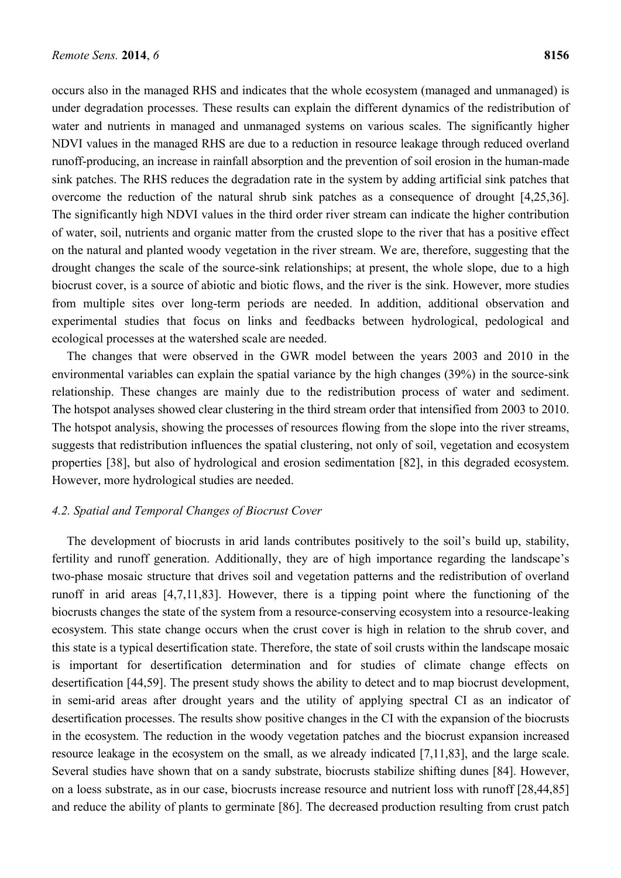occurs also in the managed RHS and indicates that the whole ecosystem (managed and unmanaged) is under degradation processes. These results can explain the different dynamics of the redistribution of water and nutrients in managed and unmanaged systems on various scales. The significantly higher NDVI values in the managed RHS are due to a reduction in resource leakage through reduced overland runoff-producing, an increase in rainfall absorption and the prevention of soil erosion in the human-made sink patches. The RHS reduces the degradation rate in the system by adding artificial sink patches that overcome the reduction of the natural shrub sink patches as a consequence of drought [4,25,36]. The significantly high NDVI values in the third order river stream can indicate the higher contribution of water, soil, nutrients and organic matter from the crusted slope to the river that has a positive effect on the natural and planted woody vegetation in the river stream. We are, therefore, suggesting that the drought changes the scale of the source-sink relationships; at present, the whole slope, due to a high biocrust cover, is a source of abiotic and biotic flows, and the river is the sink. However, more studies from multiple sites over long-term periods are needed. In addition, additional observation and experimental studies that focus on links and feedbacks between hydrological, pedological and ecological processes at the watershed scale are needed.

The changes that were observed in the GWR model between the years 2003 and 2010 in the environmental variables can explain the spatial variance by the high changes (39%) in the source-sink relationship. These changes are mainly due to the redistribution process of water and sediment. The hotspot analyses showed clear clustering in the third stream order that intensified from 2003 to 2010. The hotspot analysis, showing the processes of resources flowing from the slope into the river streams, suggests that redistribution influences the spatial clustering, not only of soil, vegetation and ecosystem properties [38], but also of hydrological and erosion sedimentation [82], in this degraded ecosystem. However, more hydrological studies are needed.

## *4.2. Spatial and Temporal Changes of Biocrust Cover*

The development of biocrusts in arid lands contributes positively to the soil's build up, stability, fertility and runoff generation. Additionally, they are of high importance regarding the landscape's two-phase mosaic structure that drives soil and vegetation patterns and the redistribution of overland runoff in arid areas [4,7,11,83]. However, there is a tipping point where the functioning of the biocrusts changes the state of the system from a resource-conserving ecosystem into a resource-leaking ecosystem. This state change occurs when the crust cover is high in relation to the shrub cover, and this state is a typical desertification state. Therefore, the state of soil crusts within the landscape mosaic is important for desertification determination and for studies of climate change effects on desertification [44,59]. The present study shows the ability to detect and to map biocrust development, in semi-arid areas after drought years and the utility of applying spectral CI as an indicator of desertification processes. The results show positive changes in the CI with the expansion of the biocrusts in the ecosystem. The reduction in the woody vegetation patches and the biocrust expansion increased resource leakage in the ecosystem on the small, as we already indicated [7,11,83], and the large scale. Several studies have shown that on a sandy substrate, biocrusts stabilize shifting dunes [84]. However, on a loess substrate, as in our case, biocrusts increase resource and nutrient loss with runoff [28,44,85] and reduce the ability of plants to germinate [86]. The decreased production resulting from crust patch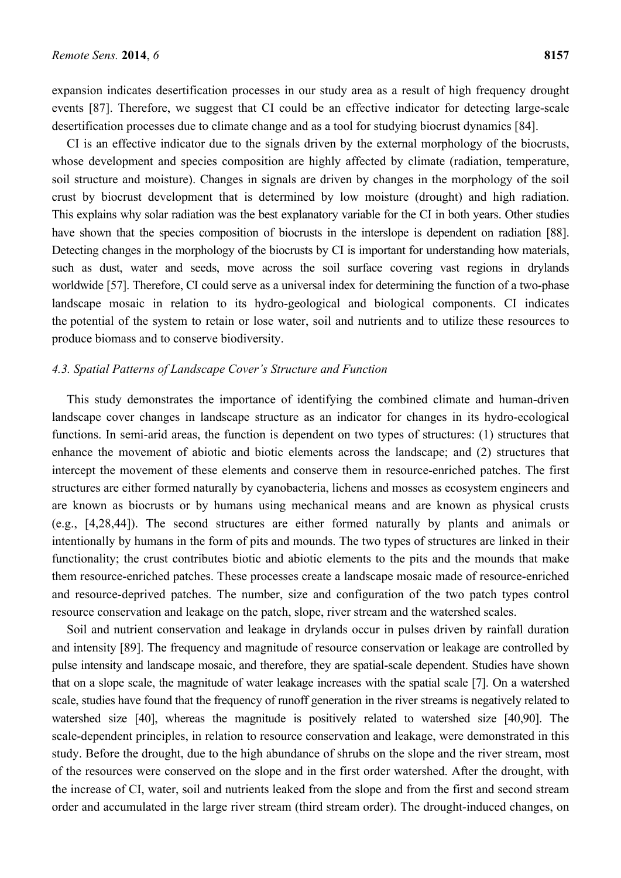expansion indicates desertification processes in our study area as a result of high frequency drought events [87]. Therefore, we suggest that CI could be an effective indicator for detecting large-scale desertification processes due to climate change and as a tool for studying biocrust dynamics [84].

CI is an effective indicator due to the signals driven by the external morphology of the biocrusts, whose development and species composition are highly affected by climate (radiation, temperature, soil structure and moisture). Changes in signals are driven by changes in the morphology of the soil crust by biocrust development that is determined by low moisture (drought) and high radiation. This explains why solar radiation was the best explanatory variable for the CI in both years. Other studies have shown that the species composition of biocrusts in the interslope is dependent on radiation [88]. Detecting changes in the morphology of the biocrusts by CI is important for understanding how materials, such as dust, water and seeds, move across the soil surface covering vast regions in drylands worldwide [57]. Therefore, CI could serve as a universal index for determining the function of a two-phase landscape mosaic in relation to its hydro-geological and biological components. CI indicates the potential of the system to retain or lose water, soil and nutrients and to utilize these resources to produce biomass and to conserve biodiversity.

## *4.3. Spatial Patterns of Landscape Cover's Structure and Function*

This study demonstrates the importance of identifying the combined climate and human-driven landscape cover changes in landscape structure as an indicator for changes in its hydro-ecological functions. In semi-arid areas, the function is dependent on two types of structures: (1) structures that enhance the movement of abiotic and biotic elements across the landscape; and (2) structures that intercept the movement of these elements and conserve them in resource-enriched patches. The first structures are either formed naturally by cyanobacteria, lichens and mosses as ecosystem engineers and are known as biocrusts or by humans using mechanical means and are known as physical crusts (e.g., [4,28,44]). The second structures are either formed naturally by plants and animals or intentionally by humans in the form of pits and mounds. The two types of structures are linked in their functionality; the crust contributes biotic and abiotic elements to the pits and the mounds that make them resource-enriched patches. These processes create a landscape mosaic made of resource-enriched and resource-deprived patches. The number, size and configuration of the two patch types control resource conservation and leakage on the patch, slope, river stream and the watershed scales.

Soil and nutrient conservation and leakage in drylands occur in pulses driven by rainfall duration and intensity [89]. The frequency and magnitude of resource conservation or leakage are controlled by pulse intensity and landscape mosaic, and therefore, they are spatial-scale dependent. Studies have shown that on a slope scale, the magnitude of water leakage increases with the spatial scale [7]. On a watershed scale, studies have found that the frequency of runoff generation in the river streams is negatively related to watershed size [40], whereas the magnitude is positively related to watershed size [40,90]. The scale-dependent principles, in relation to resource conservation and leakage, were demonstrated in this study. Before the drought, due to the high abundance of shrubs on the slope and the river stream, most of the resources were conserved on the slope and in the first order watershed. After the drought, with the increase of CI, water, soil and nutrients leaked from the slope and from the first and second stream order and accumulated in the large river stream (third stream order). The drought-induced changes, on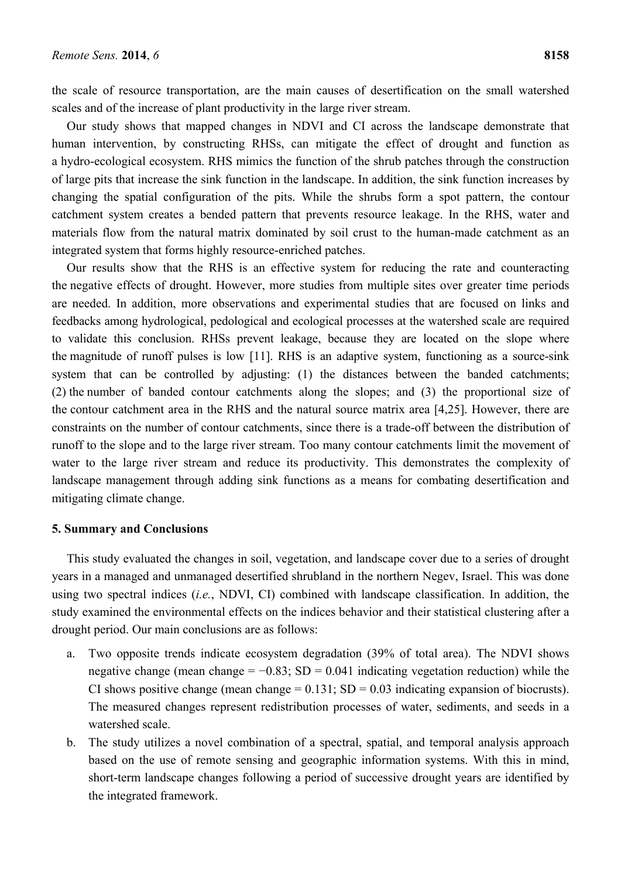the scale of resource transportation, are the main causes of desertification on the small watershed scales and of the increase of plant productivity in the large river stream.

Our study shows that mapped changes in NDVI and CI across the landscape demonstrate that human intervention, by constructing RHSs, can mitigate the effect of drought and function as a hydro-ecological ecosystem. RHS mimics the function of the shrub patches through the construction of large pits that increase the sink function in the landscape. In addition, the sink function increases by changing the spatial configuration of the pits. While the shrubs form a spot pattern, the contour catchment system creates a bended pattern that prevents resource leakage. In the RHS, water and materials flow from the natural matrix dominated by soil crust to the human-made catchment as an integrated system that forms highly resource-enriched patches.

Our results show that the RHS is an effective system for reducing the rate and counteracting the negative effects of drought. However, more studies from multiple sites over greater time periods are needed. In addition, more observations and experimental studies that are focused on links and feedbacks among hydrological, pedological and ecological processes at the watershed scale are required to validate this conclusion. RHSs prevent leakage, because they are located on the slope where the magnitude of runoff pulses is low [11]. RHS is an adaptive system, functioning as a source-sink system that can be controlled by adjusting: (1) the distances between the banded catchments; (2) the number of banded contour catchments along the slopes; and (3) the proportional size of the contour catchment area in the RHS and the natural source matrix area [4,25]. However, there are constraints on the number of contour catchments, since there is a trade-off between the distribution of runoff to the slope and to the large river stream. Too many contour catchments limit the movement of water to the large river stream and reduce its productivity. This demonstrates the complexity of landscape management through adding sink functions as a means for combating desertification and mitigating climate change.

#### **5. Summary and Conclusions**

This study evaluated the changes in soil, vegetation, and landscape cover due to a series of drought years in a managed and unmanaged desertified shrubland in the northern Negev, Israel. This was done using two spectral indices (*i.e.*, NDVI, CI) combined with landscape classification. In addition, the study examined the environmental effects on the indices behavior and their statistical clustering after a drought period. Our main conclusions are as follows:

- a. Two opposite trends indicate ecosystem degradation (39% of total area). The NDVI shows negative change (mean change =  $-0.83$ ; SD = 0.041 indicating vegetation reduction) while the CI shows positive change (mean change  $= 0.131$ ; SD  $= 0.03$  indicating expansion of biocrusts). The measured changes represent redistribution processes of water, sediments, and seeds in a watershed scale.
- b. The study utilizes a novel combination of a spectral, spatial, and temporal analysis approach based on the use of remote sensing and geographic information systems. With this in mind, short-term landscape changes following a period of successive drought years are identified by the integrated framework.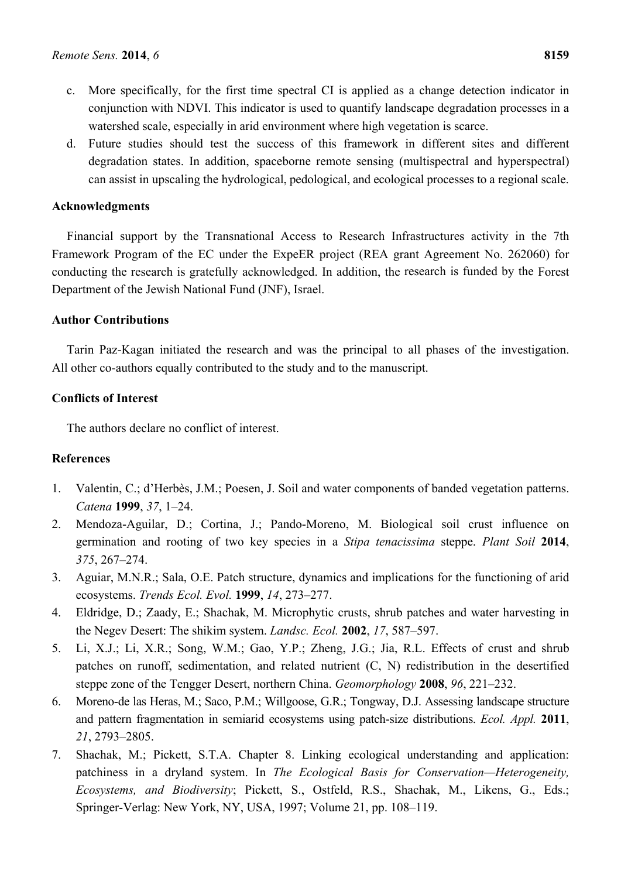- c. More specifically, for the first time spectral CI is applied as a change detection indicator in conjunction with NDVI. This indicator is used to quantify landscape degradation processes in a watershed scale, especially in arid environment where high vegetation is scarce.
- d. Future studies should test the success of this framework in different sites and different degradation states. In addition, spaceborne remote sensing (multispectral and hyperspectral) can assist in upscaling the hydrological, pedological, and ecological processes to a regional scale.

## **Acknowledgments**

Financial support by the Transnational Access to Research Infrastructures activity in the 7th Framework Program of the EC under the ExpeER project (REA grant Agreement No. 262060) for conducting the research is gratefully acknowledged. In addition, the research is funded by the Forest Department of the Jewish National Fund (JNF), Israel.

## **Author Contributions**

Tarin Paz-Kagan initiated the research and was the principal to all phases of the investigation. All other co-authors equally contributed to the study and to the manuscript.

## **Conflicts of Interest**

The authors declare no conflict of interest.

## **References**

- 1. Valentin, C.; d'Herbès, J.M.; Poesen, J. Soil and water components of banded vegetation patterns. *Catena* **1999**, *37*, 1–24.
- 2. Mendoza-Aguilar, D.; Cortina, J.; Pando-Moreno, M. Biological soil crust influence on germination and rooting of two key species in a *Stipa tenacissima* steppe. *Plant Soil* **2014**, *375*, 267–274.
- 3. Aguiar, M.N.R.; Sala, O.E. Patch structure, dynamics and implications for the functioning of arid ecosystems. *Trends Ecol. Evol.* **1999**, *14*, 273–277.
- 4. Eldridge, D.; Zaady, E.; Shachak, M. Microphytic crusts, shrub patches and water harvesting in the Negev Desert: The shikim system. *Landsc. Ecol.* **2002**, *17*, 587–597.
- 5. Li, X.J.; Li, X.R.; Song, W.M.; Gao, Y.P.; Zheng, J.G.; Jia, R.L. Effects of crust and shrub patches on runoff, sedimentation, and related nutrient (C, N) redistribution in the desertified steppe zone of the Tengger Desert, northern China. *Geomorphology* **2008**, *96*, 221–232.
- 6. Moreno-de las Heras, M.; Saco, P.M.; Willgoose, G.R.; Tongway, D.J. Assessing landscape structure and pattern fragmentation in semiarid ecosystems using patch-size distributions. *Ecol. Appl.* **2011**, *21*, 2793–2805.
- 7. Shachak, M.; Pickett, S.T.A. Chapter 8. Linking ecological understanding and application: patchiness in a dryland system. In *The Ecological Basis for Conservation—Heterogeneity, Ecosystems, and Biodiversity*; Pickett, S., Ostfeld, R.S., Shachak, M., Likens, G., Eds.; Springer-Verlag: New York, NY, USA, 1997; Volume 21, pp. 108–119.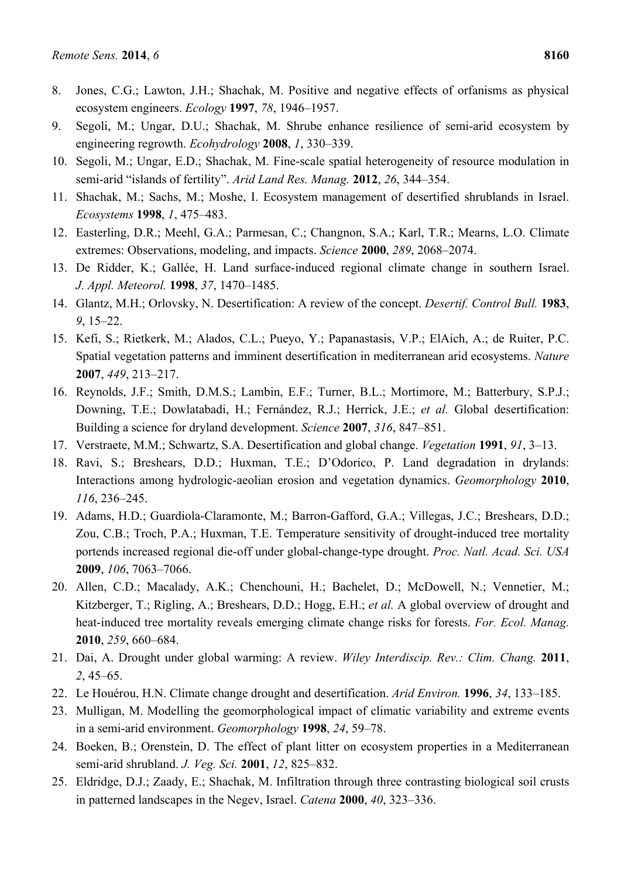- 8. Jones, C.G.; Lawton, J.H.; Shachak, M. Positive and negative effects of orfanisms as physical ecosystem engineers. *Ecology* **1997**, *78*, 1946–1957.
- 9. Segoli, M.; Ungar, D.U.; Shachak, M. Shrube enhance resilience of semi-arid ecosystem by engineering regrowth. *Ecohydrology* **2008**, *1*, 330–339.
- 10. Segoli, M.; Ungar, E.D.; Shachak, M. Fine-scale spatial heterogeneity of resource modulation in semi-arid "islands of fertility". *Arid Land Res. Manag.* **2012**, *26*, 344–354.
- 11. Shachak, M.; Sachs, M.; Moshe, I. Ecosystem management of desertified shrublands in Israel. *Ecosystems* **1998**, *1*, 475–483.
- 12. Easterling, D.R.; Meehl, G.A.; Parmesan, C.; Changnon, S.A.; Karl, T.R.; Mearns, L.O. Climate extremes: Observations, modeling, and impacts. *Science* **2000**, *289*, 2068–2074.
- 13. De Ridder, K.; Gallée, H. Land surface-induced regional climate change in southern Israel. *J. Appl. Meteorol.* **1998**, *37*, 1470–1485.
- 14. Glantz, M.H.; Orlovsky, N. Desertification: A review of the concept. *Desertif. Control Bull.* **1983**, *9*, 15–22.
- 15. Kefi, S.; Rietkerk, M.; Alados, C.L.; Pueyo, Y.; Papanastasis, V.P.; ElAich, A.; de Ruiter, P.C. Spatial vegetation patterns and imminent desertification in mediterranean arid ecosystems. *Nature*  **2007**, *449*, 213–217.
- 16. Reynolds, J.F.; Smith, D.M.S.; Lambin, E.F.; Turner, B.L.; Mortimore, M.; Batterbury, S.P.J.; Downing, T.E.; Dowlatabadi, H.; Fernández, R.J.; Herrick, J.E.; *et al.* Global desertification: Building a science for dryland development. *Science* **2007**, *316*, 847–851.
- 17. Verstraete, M.M.; Schwartz, S.A. Desertification and global change. *Vegetation* **1991**, *91*, 3–13.
- 18. Ravi, S.; Breshears, D.D.; Huxman, T.E.; D'Odorico, P. Land degradation in drylands: Interactions among hydrologic-aeolian erosion and vegetation dynamics. *Geomorphology* **2010**, *116*, 236–245.
- 19. Adams, H.D.; Guardiola-Claramonte, M.; Barron-Gafford, G.A.; Villegas, J.C.; Breshears, D.D.; Zou, C.B.; Troch, P.A.; Huxman, T.E. Temperature sensitivity of drought-induced tree mortality portends increased regional die-off under global-change-type drought. *Proc. Natl. Acad. Sci. USA*  **2009**, *106*, 7063–7066.
- 20. Allen, C.D.; Macalady, A.K.; Chenchouni, H.; Bachelet, D.; McDowell, N.; Vennetier, M.; Kitzberger, T.; Rigling, A.; Breshears, D.D.; Hogg, E.H.; *et al.* A global overview of drought and heat-induced tree mortality reveals emerging climate change risks for forests. *For. Ecol. Manag.*  **2010**, *259*, 660–684.
- 21. Dai, A. Drought under global warming: A review. *Wiley Interdiscip. Rev.: Clim. Chang.* **2011**, *2*, 45–65.
- 22. Le Houérou, H.N. Climate change drought and desertification. *Arid Environ.* **1996**, *34*, 133–185.
- 23. Mulligan, M. Modelling the geomorphological impact of climatic variability and extreme events in a semi-arid environment. *Geomorphology* **1998**, *24*, 59–78.
- 24. Boeken, B.; Orenstein, D. The effect of plant litter on ecosystem properties in a Mediterranean semi-arid shrubland. *J. Veg. Sci.* **2001**, *12*, 825–832.
- 25. Eldridge, D.J.; Zaady, E.; Shachak, M. Infiltration through three contrasting biological soil crusts in patterned landscapes in the Negev, Israel. *Catena* **2000**, *40*, 323–336.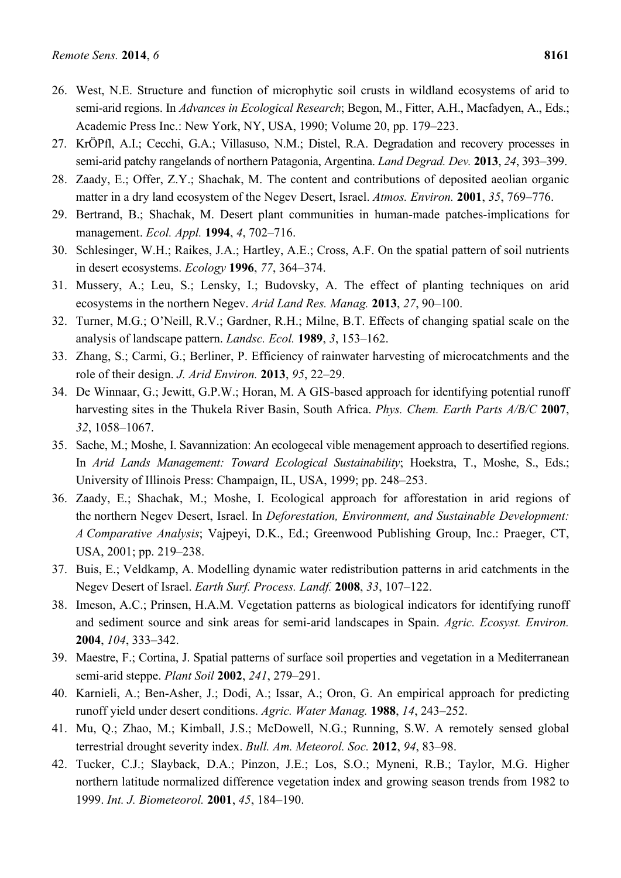- 26. West, N.E. Structure and function of microphytic soil crusts in wildland ecosystems of arid to semi-arid regions. In *Advances in Ecological Research*; Begon, M., Fitter, A.H., Macfadyen, A., Eds.; Academic Press Inc.: New York, NY, USA, 1990; Volume 20, pp. 179–223.
- 27. KrÖPfl, A.I.; Cecchi, G.A.; Villasuso, N.M.; Distel, R.A. Degradation and recovery processes in semi-arid patchy rangelands of northern Patagonia, Argentina. *Land Degrad. Dev.* **2013**, *24*, 393–399.
- 28. Zaady, E.; Offer, Z.Y.; Shachak, M. The content and contributions of deposited aeolian organic matter in a dry land ecosystem of the Negev Desert, Israel. *Atmos. Environ.* **2001**, *35*, 769–776.
- 29. Bertrand, B.; Shachak, M. Desert plant communities in human-made patches-implications for management. *Ecol. Appl.* **1994**, *4*, 702–716.
- 30. Schlesinger, W.H.; Raikes, J.A.; Hartley, A.E.; Cross, A.F. On the spatial pattern of soil nutrients in desert ecosystems. *Ecology* **1996**, *77*, 364–374.
- 31. Mussery, A.; Leu, S.; Lensky, I.; Budovsky, A. The effect of planting techniques on arid ecosystems in the northern Negev. *Arid Land Res. Manag.* **2013**, *27*, 90–100.
- 32. Turner, M.G.; O'Neill, R.V.; Gardner, R.H.; Milne, B.T. Effects of changing spatial scale on the analysis of landscape pattern. *Landsc. Ecol.* **1989**, *3*, 153–162.
- 33. Zhang, S.; Carmi, G.; Berliner, P. Efficiency of rainwater harvesting of microcatchments and the role of their design. *J. Arid Environ.* **2013**, *95*, 22–29.
- 34. De Winnaar, G.; Jewitt, G.P.W.; Horan, M. A GIS-based approach for identifying potential runoff harvesting sites in the Thukela River Basin, South Africa. *Phys. Chem. Earth Parts A/B/C* **2007**, *32*, 1058–1067.
- 35. Sache, M.; Moshe, I. Savannization: An ecologecal vible menagement approach to desertified regions. In *Arid Lands Management: Toward Ecological Sustainability*; Hoekstra, T., Moshe, S., Eds.; University of Illinois Press: Champaign, IL, USA, 1999; pp. 248–253.
- 36. Zaady, E.; Shachak, M.; Moshe, I. Ecological approach for afforestation in arid regions of the northern Negev Desert, Israel. In *Deforestation, Environment, and Sustainable Development: A Comparative Analysis*; Vajpeyi, D.K., Ed.; Greenwood Publishing Group, Inc.: Praeger, CT, USA, 2001; pp. 219–238.
- 37. Buis, E.; Veldkamp, A. Modelling dynamic water redistribution patterns in arid catchments in the Negev Desert of Israel. *Earth Surf. Process. Landf.* **2008**, *33*, 107–122.
- 38. Imeson, A.C.; Prinsen, H.A.M. Vegetation patterns as biological indicators for identifying runoff and sediment source and sink areas for semi-arid landscapes in Spain. *Agric. Ecosyst. Environ.*  **2004**, *104*, 333–342.
- 39. Maestre, F.; Cortina, J. Spatial patterns of surface soil properties and vegetation in a Mediterranean semi-arid steppe. *Plant Soil* **2002**, *241*, 279–291.
- 40. Karnieli, A.; Ben-Asher, J.; Dodi, A.; Issar, A.; Oron, G. An empirical approach for predicting runoff yield under desert conditions. *Agric. Water Manag.* **1988**, *14*, 243–252.
- 41. Mu, Q.; Zhao, M.; Kimball, J.S.; McDowell, N.G.; Running, S.W. A remotely sensed global terrestrial drought severity index. *Bull. Am. Meteorol. Soc.* **2012**, *94*, 83–98.
- 42. Tucker, C.J.; Slayback, D.A.; Pinzon, J.E.; Los, S.O.; Myneni, R.B.; Taylor, M.G. Higher northern latitude normalized difference vegetation index and growing season trends from 1982 to 1999. *Int. J. Biometeorol.* **2001**, *45*, 184–190.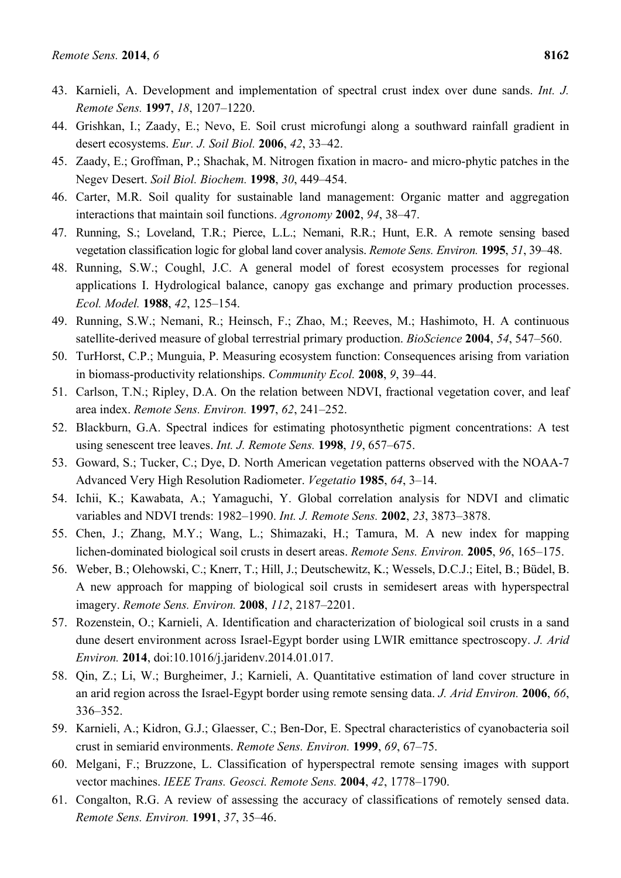- 43. Karnieli, A. Development and implementation of spectral crust index over dune sands. *Int. J. Remote Sens.* **1997**, *18*, 1207–1220.
- 44. Grishkan, I.; Zaady, E.; Nevo, E. Soil crust microfungi along a southward rainfall gradient in desert ecosystems. *Eur. J. Soil Biol.* **2006**, *42*, 33–42.
- 45. Zaady, E.; Groffman, P.; Shachak, M. Nitrogen fixation in macro- and micro-phytic patches in the Negev Desert. *Soil Biol. Biochem.* **1998**, *30*, 449–454.
- 46. Carter, M.R. Soil quality for sustainable land management: Organic matter and aggregation interactions that maintain soil functions. *Agronomy* **2002**, *94*, 38–47.
- 47. Running, S.; Loveland, T.R.; Pierce, L.L.; Nemani, R.R.; Hunt, E.R. A remote sensing based vegetation classification logic for global land cover analysis. *Remote Sens. Environ.* **1995**, *51*, 39–48.
- 48. Running, S.W.; Coughl, J.C. A general model of forest ecosystem processes for regional applications I. Hydrological balance, canopy gas exchange and primary production processes. *Ecol. Model.* **1988**, *42*, 125–154.
- 49. Running, S.W.; Nemani, R.; Heinsch, F.; Zhao, M.; Reeves, M.; Hashimoto, H. A continuous satellite-derived measure of global terrestrial primary production. *BioScience* **2004**, *54*, 547–560.
- 50. TurHorst, C.P.; Munguia, P. Measuring ecosystem function: Consequences arising from variation in biomass-productivity relationships. *Community Ecol.* **2008**, *9*, 39–44.
- 51. Carlson, T.N.; Ripley, D.A. On the relation between NDVI, fractional vegetation cover, and leaf area index. *Remote Sens. Environ.* **1997**, *62*, 241–252.
- 52. Blackburn, G.A. Spectral indices for estimating photosynthetic pigment concentrations: A test using senescent tree leaves. *Int. J. Remote Sens.* **1998**, *19*, 657–675.
- 53. Goward, S.; Tucker, C.; Dye, D. North American vegetation patterns observed with the NOAA-7 Advanced Very High Resolution Radiometer. *Vegetatio* **1985**, *64*, 3–14.
- 54. Ichii, K.; Kawabata, A.; Yamaguchi, Y. Global correlation analysis for NDVI and climatic variables and NDVI trends: 1982–1990. *Int. J. Remote Sens.* **2002**, *23*, 3873–3878.
- 55. Chen, J.; Zhang, M.Y.; Wang, L.; Shimazaki, H.; Tamura, M. A new index for mapping lichen-dominated biological soil crusts in desert areas. *Remote Sens. Environ.* **2005**, *96*, 165–175.
- 56. Weber, B.; Olehowski, C.; Knerr, T.; Hill, J.; Deutschewitz, K.; Wessels, D.C.J.; Eitel, B.; Büdel, B. A new approach for mapping of biological soil crusts in semidesert areas with hyperspectral imagery. *Remote Sens. Environ.* **2008**, *112*, 2187–2201.
- 57. Rozenstein, O.; Karnieli, A. Identification and characterization of biological soil crusts in a sand dune desert environment across Israel-Egypt border using LWIR emittance spectroscopy. *J. Arid Environ.* **2014**, doi:10.1016/j.jaridenv.2014.01.017.
- 58. Qin, Z.; Li, W.; Burgheimer, J.; Karnieli, A. Quantitative estimation of land cover structure in an arid region across the Israel-Egypt border using remote sensing data. *J. Arid Environ.* **2006**, *66*, 336–352.
- 59. Karnieli, A.; Kidron, G.J.; Glaesser, C.; Ben-Dor, E. Spectral characteristics of cyanobacteria soil crust in semiarid environments. *Remote Sens. Environ.* **1999**, *69*, 67–75.
- 60. Melgani, F.; Bruzzone, L. Classification of hyperspectral remote sensing images with support vector machines. *IEEE Trans. Geosci. Remote Sens.* **2004**, *42*, 1778–1790.
- 61. Congalton, R.G. A review of assessing the accuracy of classifications of remotely sensed data. *Remote Sens. Environ.* **1991**, *37*, 35–46.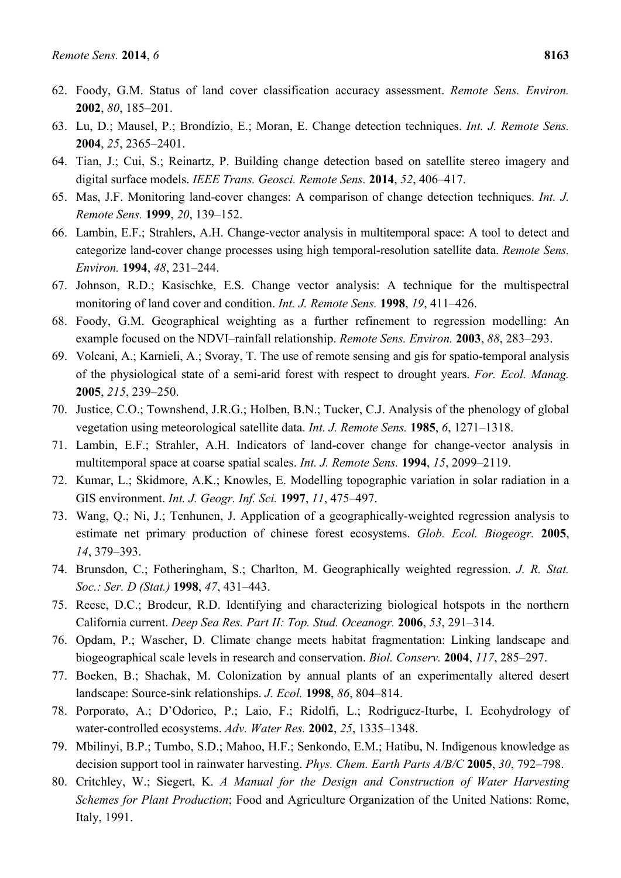- 62. Foody, G.M. Status of land cover classification accuracy assessment. *Remote Sens. Environ.*  **2002**, *80*, 185–201.
- 63. Lu, D.; Mausel, P.; Brondízio, E.; Moran, E. Change detection techniques. *Int. J. Remote Sens.*  **2004**, *25*, 2365–2401.
- 64. Tian, J.; Cui, S.; Reinartz, P. Building change detection based on satellite stereo imagery and digital surface models. *IEEE Trans. Geosci. Remote Sens.* **2014**, *52*, 406–417.
- 65. Mas, J.F. Monitoring land-cover changes: A comparison of change detection techniques. *Int. J. Remote Sens.* **1999**, *20*, 139–152.
- 66. Lambin, E.F.; Strahlers, A.H. Change-vector analysis in multitemporal space: A tool to detect and categorize land-cover change processes using high temporal-resolution satellite data. *Remote Sens. Environ.* **1994**, *48*, 231–244.
- 67. Johnson, R.D.; Kasischke, E.S. Change vector analysis: A technique for the multispectral monitoring of land cover and condition. *Int. J. Remote Sens.* **1998**, *19*, 411–426.
- 68. Foody, G.M. Geographical weighting as a further refinement to regression modelling: An example focused on the NDVI–rainfall relationship. *Remote Sens. Environ.* **2003**, *88*, 283–293.
- 69. Volcani, A.; Karnieli, A.; Svoray, T. The use of remote sensing and gis for spatio-temporal analysis of the physiological state of a semi-arid forest with respect to drought years. *For. Ecol. Manag.*  **2005**, *215*, 239–250.
- 70. Justice, C.O.; Townshend, J.R.G.; Holben, B.N.; Tucker, C.J. Analysis of the phenology of global vegetation using meteorological satellite data. *Int. J. Remote Sens.* **1985**, *6*, 1271–1318.
- 71. Lambin, E.F.; Strahler, A.H. Indicators of land-cover change for change-vector analysis in multitemporal space at coarse spatial scales. *Int. J. Remote Sens.* **1994**, *15*, 2099–2119.
- 72. Kumar, L.; Skidmore, A.K.; Knowles, E. Modelling topographic variation in solar radiation in a GIS environment. *Int. J. Geogr. Inf. Sci.* **1997**, *11*, 475–497.
- 73. Wang, Q.; Ni, J.; Tenhunen, J. Application of a geographically-weighted regression analysis to estimate net primary production of chinese forest ecosystems. *Glob. Ecol. Biogeogr.* **2005**, *14*, 379–393.
- 74. Brunsdon, C.; Fotheringham, S.; Charlton, M. Geographically weighted regression. *J. R. Stat. Soc.: Ser. D (Stat.)* **1998**, *47*, 431–443.
- 75. Reese, D.C.; Brodeur, R.D. Identifying and characterizing biological hotspots in the northern California current. *Deep Sea Res. Part II: Top. Stud. Oceanogr.* **2006**, *53*, 291–314.
- 76. Opdam, P.; Wascher, D. Climate change meets habitat fragmentation: Linking landscape and biogeographical scale levels in research and conservation. *Biol. Conserv.* **2004**, *117*, 285–297.
- 77. Boeken, B.; Shachak, M. Colonization by annual plants of an experimentally altered desert landscape: Source-sink relationships. *J. Ecol.* **1998**, *86*, 804–814.
- 78. Porporato, A.; D'Odorico, P.; Laio, F.; Ridolfi, L.; Rodriguez-Iturbe, I. Ecohydrology of water-controlled ecosystems. *Adv. Water Res.* **2002**, *25*, 1335–1348.
- 79. Mbilinyi, B.P.; Tumbo, S.D.; Mahoo, H.F.; Senkondo, E.M.; Hatibu, N. Indigenous knowledge as decision support tool in rainwater harvesting. *Phys. Chem. Earth Parts A/B/C* **2005**, *30*, 792–798.
- 80. Critchley, W.; Siegert, K. *A Manual for the Design and Construction of Water Harvesting Schemes for Plant Production*; Food and Agriculture Organization of the United Nations: Rome, Italy, 1991.